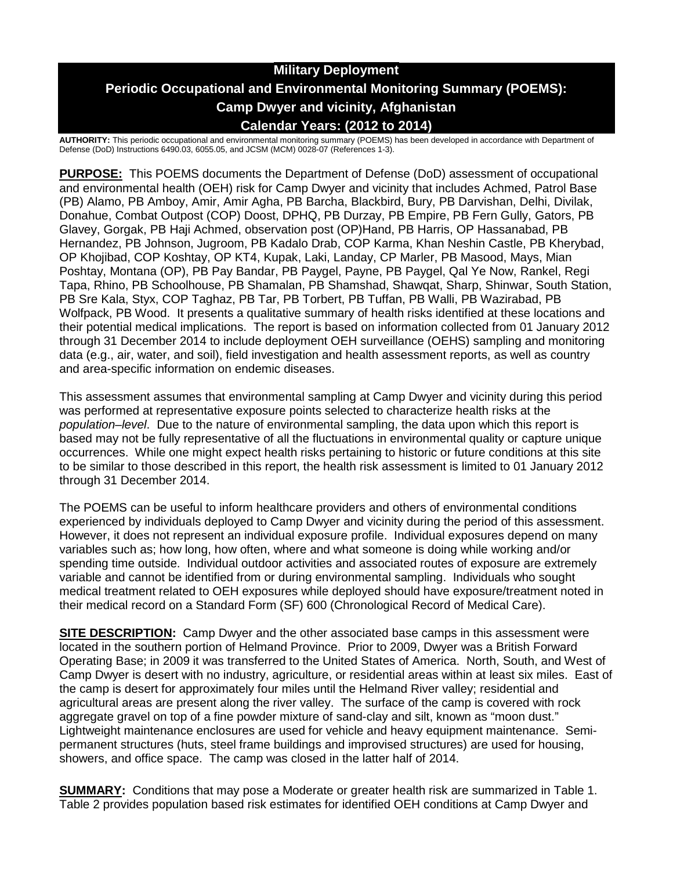# **Military Deployment Periodic Occupational and Environmental Monitoring Summary (POEMS): Camp Dwyer and vicinity, Afghanistan Calendar Years: (2012 to 2014)**

**AUTHORITY:** This periodic occupational and environmental monitoring summary (POEMS) has been developed in accordance with Department of Defense (DoD) Instructions 6490.03, 6055.05, and JCSM (MCM) 0028-07 (References 1-3).

**PURPOSE:** This POEMS documents the Department of Defense (DoD) assessment of occupational and environmental health (OEH) risk for Camp Dwyer and vicinity that includes Achmed, Patrol Base (PB) Alamo, PB Amboy, Amir, Amir Agha, PB Barcha, Blackbird, Bury, PB Darvishan, Delhi, Divilak, Donahue, Combat Outpost (COP) Doost, DPHQ, PB Durzay, PB Empire, PB Fern Gully, Gators, PB Glavey, Gorgak, PB Haji Achmed, observation post (OP)Hand, PB Harris, OP Hassanabad, PB Hernandez, PB Johnson, Jugroom, PB Kadalo Drab, COP Karma, Khan Neshin Castle, PB Kherybad, OP Khojibad, COP Koshtay, OP KT4, Kupak, Laki, Landay, CP Marler, PB Masood, Mays, Mian Poshtay, Montana (OP), PB Pay Bandar, PB Paygel, Payne, PB Paygel, Qal Ye Now, Rankel, Regi Tapa, Rhino, PB Schoolhouse, PB Shamalan, PB Shamshad, Shawqat, Sharp, Shinwar, South Station, PB Sre Kala, Styx, COP Taghaz, PB Tar, PB Torbert, PB Tuffan, PB Walli, PB Wazirabad, PB Wolfpack, PB Wood. It presents a qualitative summary of health risks identified at these locations and their potential medical implications. The report is based on information collected from 01 January 2012 through 31 December 2014 to include deployment OEH surveillance (OEHS) sampling and monitoring data (e.g., air, water, and soil), field investigation and health assessment reports, as well as country and area-specific information on endemic diseases.

This assessment assumes that environmental sampling at Camp Dwyer and vicinity during this period was performed at representative exposure points selected to characterize health risks at the *population–level*. Due to the nature of environmental sampling, the data upon which this report is based may not be fully representative of all the fluctuations in environmental quality or capture unique occurrences. While one might expect health risks pertaining to historic or future conditions at this site to be similar to those described in this report, the health risk assessment is limited to 01 January 2012 through 31 December 2014.

The POEMS can be useful to inform healthcare providers and others of environmental conditions experienced by individuals deployed to Camp Dwyer and vicinity during the period of this assessment. However, it does not represent an individual exposure profile. Individual exposures depend on many variables such as; how long, how often, where and what someone is doing while working and/or spending time outside. Individual outdoor activities and associated routes of exposure are extremely variable and cannot be identified from or during environmental sampling. Individuals who sought medical treatment related to OEH exposures while deployed should have exposure/treatment noted in their medical record on a Standard Form (SF) 600 (Chronological Record of Medical Care).

**SITE DESCRIPTION:** Camp Dwyer and the other associated base camps in this assessment were located in the southern portion of Helmand Province. Prior to 2009, Dwyer was a British Forward Operating Base; in 2009 it was transferred to the United States of America. North, South, and West of Camp Dwyer is desert with no industry, agriculture, or residential areas within at least six miles. East of the camp is desert for approximately four miles until the Helmand River valley; residential and agricultural areas are present along the river valley. The surface of the camp is covered with rock aggregate gravel on top of a fine powder mixture of sand-clay and silt, known as "moon dust." Lightweight maintenance enclosures are used for vehicle and heavy equipment maintenance. Semipermanent structures (huts, steel frame buildings and improvised structures) are used for housing, showers, and office space. The camp was closed in the latter half of 2014.

**SUMMARY:** Conditions that may pose a Moderate or greater health risk are summarized in Table 1. Table 2 provides population based risk estimates for identified OEH conditions at Camp Dwyer and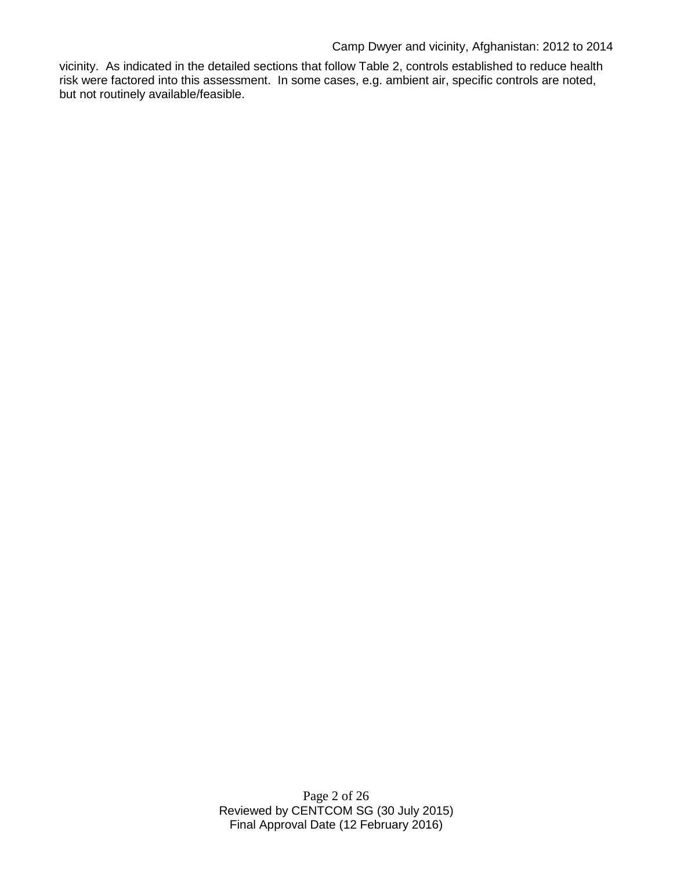vicinity. As indicated in the detailed sections that follow Table 2, controls established to reduce health risk were factored into this assessment. In some cases, e.g. ambient air, specific controls are noted, but not routinely available/feasible.

> Page 2 of 26 Reviewed by CENTCOM SG (30 July 2015) Final Approval Date (12 February 2016)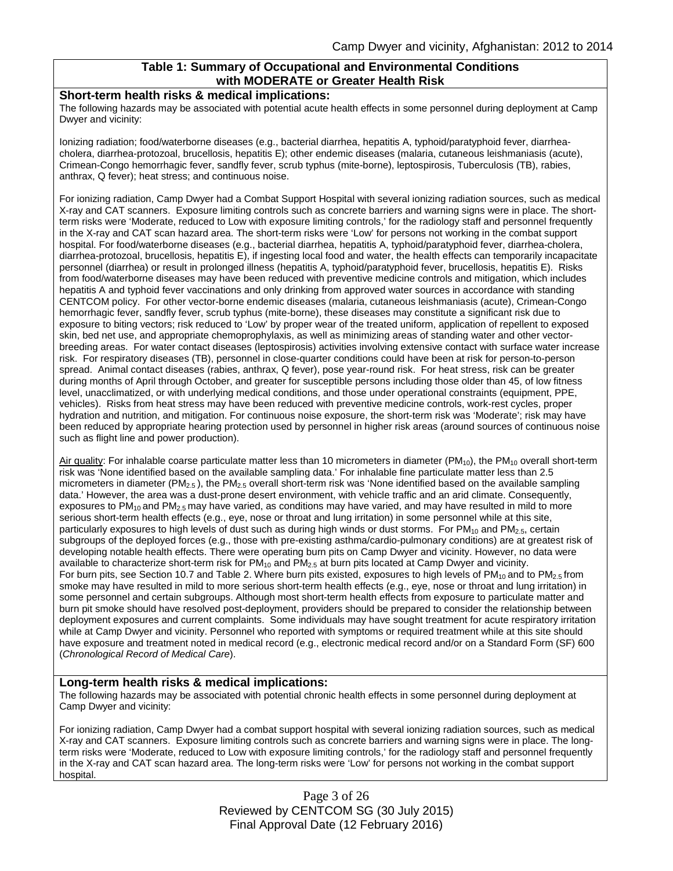### **Table 1: Summary of Occupational and Environmental Conditions with MODERATE or Greater Health Risk**

#### **Short-term health risks & medical implications:**

The following hazards may be associated with potential acute health effects in some personnel during deployment at Camp Dwyer and vicinity:

Ionizing radiation; food/waterborne diseases (e.g., bacterial diarrhea, hepatitis A, typhoid/paratyphoid fever, diarrheacholera, diarrhea-protozoal, brucellosis, hepatitis E); other endemic diseases (malaria, cutaneous leishmaniasis (acute), Crimean-Congo hemorrhagic fever, sandfly fever, scrub typhus (mite-borne), leptospirosis, Tuberculosis (TB), rabies, anthrax, Q fever); heat stress; and continuous noise.

For ionizing radiation, Camp Dwyer had a Combat Support Hospital with several ionizing radiation sources, such as medical X-ray and CAT scanners. Exposure limiting controls such as concrete barriers and warning signs were in place. The shortterm risks were 'Moderate, reduced to Low with exposure limiting controls,' for the radiology staff and personnel frequently in the X-ray and CAT scan hazard area. The short-term risks were 'Low' for persons not working in the combat support hospital. For food/waterborne diseases (e.g., bacterial diarrhea, hepatitis A, typhoid/paratyphoid fever, diarrhea-cholera, diarrhea-protozoal, brucellosis, hepatitis E), if ingesting local food and water, the health effects can temporarily incapacitate personnel (diarrhea) or result in prolonged illness (hepatitis A, typhoid/paratyphoid fever, brucellosis, hepatitis E). Risks from food/waterborne diseases may have been reduced with preventive medicine controls and mitigation, which includes hepatitis A and typhoid fever vaccinations and only drinking from approved water sources in accordance with standing CENTCOM policy. For other vector-borne endemic diseases (malaria, cutaneous leishmaniasis (acute), Crimean-Congo hemorrhagic fever, sandfly fever, scrub typhus (mite-borne), these diseases may constitute a significant risk due to exposure to biting vectors; risk reduced to 'Low' by proper wear of the treated uniform, application of repellent to exposed skin, bed net use, and appropriate chemoprophylaxis, as well as minimizing areas of standing water and other vectorbreeding areas. For water contact diseases (leptospirosis) activities involving extensive contact with surface water increase risk. For respiratory diseases (TB), personnel in close-quarter conditions could have been at risk for person-to-person spread. Animal contact diseases (rabies, anthrax, Q fever), pose year-round risk. For heat stress, risk can be greater during months of April through October, and greater for susceptible persons including those older than 45, of low fitness level, unacclimatized, or with underlying medical conditions, and those under operational constraints (equipment, PPE, vehicles). Risks from heat stress may have been reduced with preventive medicine controls, work-rest cycles, proper hydration and nutrition, and mitigation. For continuous noise exposure, the short-term risk was 'Moderate'; risk may have been reduced by appropriate hearing protection used by personnel in higher risk areas (around sources of continuous noise such as flight line and power production).

Air quality: For inhalable coarse particulate matter less than 10 micrometers in diameter  $(PM_{10})$ , the  $PM_{10}$  overall short-term risk was 'None identified based on the available sampling data.' For inhalable fine particulate matter less than 2.5 micrometers in diameter ( $PM_{2.5}$ ), the  $PM_{2.5}$  overall short-term risk was 'None identified based on the available sampling data.' However, the area was a dust-prone desert environment, with vehicle traffic and an arid climate. Consequently, exposures to  $PM_{10}$  and  $PM_{2.5}$  may have varied, as conditions may have varied, and may have resulted in mild to more serious short-term health effects (e.g., eye, nose or throat and lung irritation) in some personnel while at this site, particularly exposures to high levels of dust such as during high winds or dust storms. For  $PM_{10}$  and  $PM_{2.5}$ , certain subgroups of the deployed forces (e.g., those with pre-existing asthma/cardio-pulmonary conditions) are at greatest risk of developing notable health effects. There were operating burn pits on Camp Dwyer and vicinity. However, no data were available to characterize short-term risk for  $PM_{10}$  and  $PM_{2.5}$  at burn pits located at Camp Dwyer and vicinity. For burn pits, see Section 10.7 and Table 2. Where burn pits existed, exposures to high levels of  $PM_{10}$  and to  $PM_{2.5}$  from smoke may have resulted in mild to more serious short-term health effects (e.g., eye, nose or throat and lung irritation) in some personnel and certain subgroups. Although most short-term health effects from exposure to particulate matter and burn pit smoke should have resolved post-deployment, providers should be prepared to consider the relationship between deployment exposures and current complaints. Some individuals may have sought treatment for acute respiratory irritation while at Camp Dwyer and vicinity. Personnel who reported with symptoms or required treatment while at this site should have exposure and treatment noted in medical record (e.g., electronic medical record and/or on a Standard Form (SF) 600 (*Chronological Record of Medical Care*).

#### **Long-term health risks & medical implications:**

The following hazards may be associated with potential chronic health effects in some personnel during deployment at Camp Dwyer and vicinity:

For ionizing radiation, Camp Dwyer had a combat support hospital with several ionizing radiation sources, such as medical X-ray and CAT scanners. Exposure limiting controls such as concrete barriers and warning signs were in place. The longterm risks were 'Moderate, reduced to Low with exposure limiting controls,' for the radiology staff and personnel frequently in the X-ray and CAT scan hazard area. The long-term risks were 'Low' for persons not working in the combat support hospital.

> Page 3 of 26 Reviewed by CENTCOM SG (30 July 2015) Final Approval Date (12 February 2016)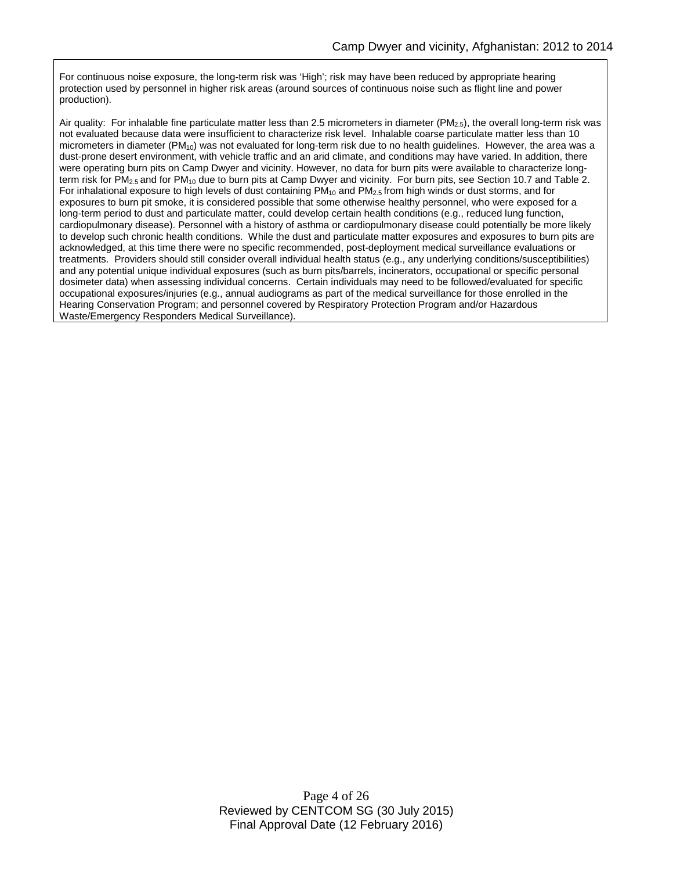For continuous noise exposure, the long-term risk was 'High'; risk may have been reduced by appropriate hearing protection used by personnel in higher risk areas (around sources of continuous noise such as flight line and power production).

Air quality: For inhalable fine particulate matter less than 2.5 micrometers in diameter  $(PM_{2.5})$ , the overall long-term risk was not evaluated because data were insufficient to characterize risk level. Inhalable coarse particulate matter less than 10 micrometers in diameter  $(PM_{10})$  was not evaluated for long-term risk due to no health guidelines. However, the area was a dust-prone desert environment, with vehicle traffic and an arid climate, and conditions may have varied. In addition, there were operating burn pits on Camp Dwyer and vicinity. However, no data for burn pits were available to characterize longterm risk for  $PM_{2.5}$  and for  $PM_{10}$  due to burn pits at Camp Dwyer and vicinity. For burn pits, see Section 10.7 and Table 2. For inhalational exposure to high levels of dust containing  $PM_{10}$  and  $PM_{2.5}$  from high winds or dust storms, and for exposures to burn pit smoke, it is considered possible that some otherwise healthy personnel, who were exposed for a long-term period to dust and particulate matter, could develop certain health conditions (e.g., reduced lung function, cardiopulmonary disease). Personnel with a history of asthma or cardiopulmonary disease could potentially be more likely to develop such chronic health conditions. While the dust and particulate matter exposures and exposures to burn pits are acknowledged, at this time there were no specific recommended, post-deployment medical surveillance evaluations or treatments. Providers should still consider overall individual health status (e.g., any underlying conditions/susceptibilities) and any potential unique individual exposures (such as burn pits/barrels, incinerators, occupational or specific personal dosimeter data) when assessing individual concerns. Certain individuals may need to be followed/evaluated for specific occupational exposures/injuries (e.g., annual audiograms as part of the medical surveillance for those enrolled in the Hearing Conservation Program; and personnel covered by Respiratory Protection Program and/or Hazardous Waste/Emergency Responders Medical Surveillance).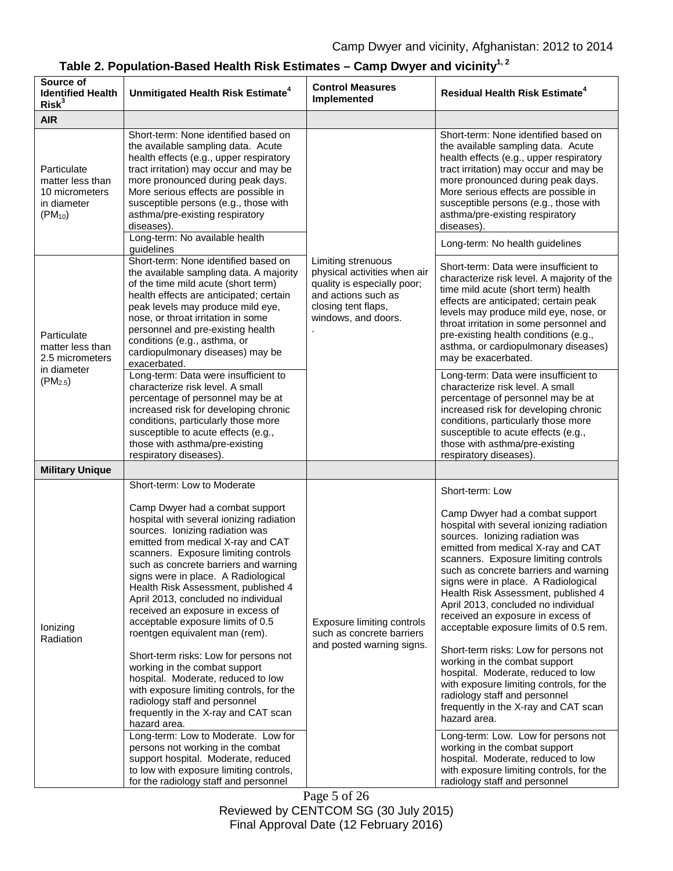| Source of<br><b>Identified Health</b><br>Risk <sup>3</sup>                        | Unmitigated Health Risk Estimate <sup>4</sup>                                                                                                                                                                                                                                                                                                                                                                                                                                                                                                                                                                                                                                                                                                                                                                                                                                                                                                                     | <b>Control Measures</b><br>Implemented                                                                                                                 | <b>Residual Health Risk Estimate<sup>4</sup></b>                                                                                                                                                                                                                                                                                                                                                                                                                                                                                                                                                                                                                                                                                                                                                                                                                                                             |
|-----------------------------------------------------------------------------------|-------------------------------------------------------------------------------------------------------------------------------------------------------------------------------------------------------------------------------------------------------------------------------------------------------------------------------------------------------------------------------------------------------------------------------------------------------------------------------------------------------------------------------------------------------------------------------------------------------------------------------------------------------------------------------------------------------------------------------------------------------------------------------------------------------------------------------------------------------------------------------------------------------------------------------------------------------------------|--------------------------------------------------------------------------------------------------------------------------------------------------------|--------------------------------------------------------------------------------------------------------------------------------------------------------------------------------------------------------------------------------------------------------------------------------------------------------------------------------------------------------------------------------------------------------------------------------------------------------------------------------------------------------------------------------------------------------------------------------------------------------------------------------------------------------------------------------------------------------------------------------------------------------------------------------------------------------------------------------------------------------------------------------------------------------------|
| <b>AIR</b>                                                                        |                                                                                                                                                                                                                                                                                                                                                                                                                                                                                                                                                                                                                                                                                                                                                                                                                                                                                                                                                                   |                                                                                                                                                        |                                                                                                                                                                                                                                                                                                                                                                                                                                                                                                                                                                                                                                                                                                                                                                                                                                                                                                              |
| Particulate<br>matter less than<br>10 micrometers<br>in diameter<br>$(PM_{10})$   | Short-term: None identified based on<br>the available sampling data. Acute<br>health effects (e.g., upper respiratory<br>tract irritation) may occur and may be<br>more pronounced during peak days.<br>More serious effects are possible in<br>susceptible persons (e.g., those with<br>asthma/pre-existing respiratory<br>diseases).<br>Long-term: No available health                                                                                                                                                                                                                                                                                                                                                                                                                                                                                                                                                                                          | Limiting strenuous<br>physical activities when air<br>quality is especially poor;<br>and actions such as<br>closing tent flaps,<br>windows, and doors. | Short-term: None identified based on<br>the available sampling data. Acute<br>health effects (e.g., upper respiratory<br>tract irritation) may occur and may be<br>more pronounced during peak days.<br>More serious effects are possible in<br>susceptible persons (e.g., those with<br>asthma/pre-existing respiratory<br>diseases).                                                                                                                                                                                                                                                                                                                                                                                                                                                                                                                                                                       |
|                                                                                   | guidelines                                                                                                                                                                                                                                                                                                                                                                                                                                                                                                                                                                                                                                                                                                                                                                                                                                                                                                                                                        |                                                                                                                                                        | Long-term: No health guidelines                                                                                                                                                                                                                                                                                                                                                                                                                                                                                                                                                                                                                                                                                                                                                                                                                                                                              |
| Particulate<br>matter less than<br>2.5 micrometers<br>in diameter<br>$(PM_{2.5})$ | Short-term: None identified based on<br>the available sampling data. A majority<br>of the time mild acute (short term)<br>health effects are anticipated; certain<br>peak levels may produce mild eye,<br>nose, or throat irritation in some<br>personnel and pre-existing health<br>conditions (e.g., asthma, or<br>cardiopulmonary diseases) may be<br>exacerbated.                                                                                                                                                                                                                                                                                                                                                                                                                                                                                                                                                                                             |                                                                                                                                                        | Short-term: Data were insufficient to<br>characterize risk level. A majority of the<br>time mild acute (short term) health<br>effects are anticipated; certain peak<br>levels may produce mild eye, nose, or<br>throat irritation in some personnel and<br>pre-existing health conditions (e.g.,<br>asthma, or cardiopulmonary diseases)<br>may be exacerbated.                                                                                                                                                                                                                                                                                                                                                                                                                                                                                                                                              |
|                                                                                   | Long-term: Data were insufficient to<br>characterize risk level. A small<br>percentage of personnel may be at<br>increased risk for developing chronic<br>conditions, particularly those more<br>susceptible to acute effects (e.g.,<br>those with asthma/pre-existing<br>respiratory diseases).                                                                                                                                                                                                                                                                                                                                                                                                                                                                                                                                                                                                                                                                  |                                                                                                                                                        | Long-term: Data were insufficient to<br>characterize risk level. A small<br>percentage of personnel may be at<br>increased risk for developing chronic<br>conditions, particularly those more<br>susceptible to acute effects (e.g.,<br>those with asthma/pre-existing<br>respiratory diseases).                                                                                                                                                                                                                                                                                                                                                                                                                                                                                                                                                                                                             |
| <b>Military Unique</b>                                                            |                                                                                                                                                                                                                                                                                                                                                                                                                                                                                                                                                                                                                                                                                                                                                                                                                                                                                                                                                                   |                                                                                                                                                        |                                                                                                                                                                                                                                                                                                                                                                                                                                                                                                                                                                                                                                                                                                                                                                                                                                                                                                              |
| lonizing<br>Radiation                                                             | Short-term: Low to Moderate<br>Camp Dwyer had a combat support<br>hospital with several ionizing radiation<br>sources. Ionizing radiation was<br>emitted from medical X-ray and CAT<br>scanners. Exposure limiting controls<br>such as concrete barriers and warning<br>signs were in place. A Radiological<br>Health Risk Assessment, published 4<br>April 2013, concluded no individual<br>received an exposure in excess of<br>acceptable exposure limits of 0.5<br>roentgen equivalent man (rem).<br>Short-term risks: Low for persons not<br>working in the combat support<br>hospital. Moderate, reduced to low<br>with exposure limiting controls, for the<br>radiology staff and personnel<br>frequently in the X-ray and CAT scan<br>hazard area.<br>Long-term: Low to Moderate. Low for<br>persons not working in the combat<br>support hospital. Moderate, reduced<br>to low with exposure limiting controls,<br>for the radiology staff and personnel | <b>Exposure limiting controls</b><br>such as concrete barriers<br>and posted warning signs.                                                            | Short-term: Low<br>Camp Dwyer had a combat support<br>hospital with several ionizing radiation<br>sources. Ionizing radiation was<br>emitted from medical X-ray and CAT<br>scanners. Exposure limiting controls<br>such as concrete barriers and warning<br>signs were in place. A Radiological<br>Health Risk Assessment, published 4<br>April 2013, concluded no individual<br>received an exposure in excess of<br>acceptable exposure limits of 0.5 rem.<br>Short-term risks: Low for persons not<br>working in the combat support<br>hospital. Moderate, reduced to low<br>with exposure limiting controls, for the<br>radiology staff and personnel<br>frequently in the X-ray and CAT scan<br>hazard area.<br>Long-term: Low. Low for persons not<br>working in the combat support<br>hospital. Moderate, reduced to low<br>with exposure limiting controls, for the<br>radiology staff and personnel |

# Table 2. Population-Based Health Risk Estimates – Camp Dwyer and vicinity<sup>1, 2</sup>

Page 5 of 26 Reviewed by CENTCOM SG (30 July 2015) Final Approval Date (12 February 2016)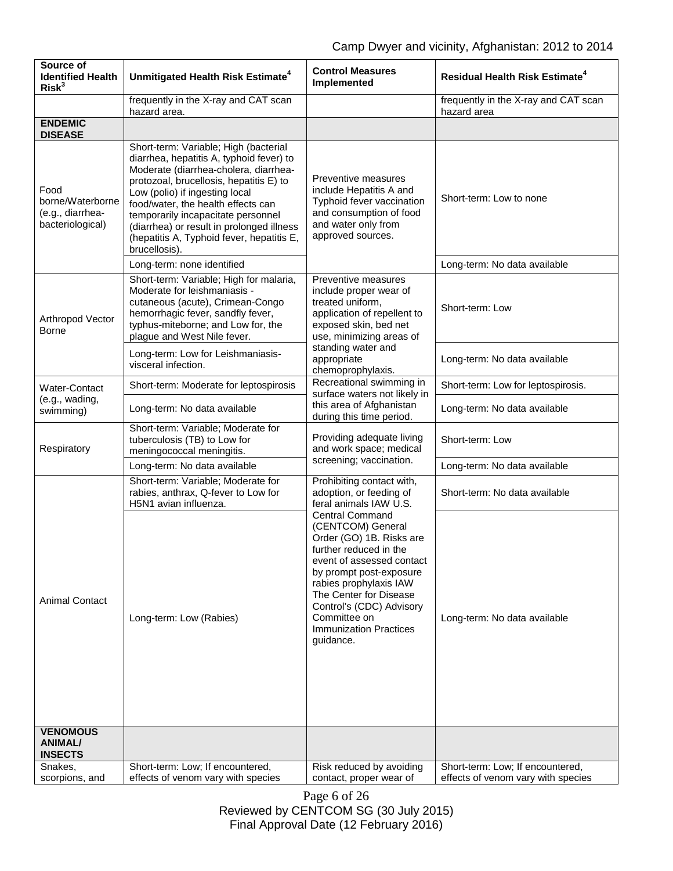| frequently in the X-ray and CAT scan<br>frequently in the X-ray and CAT scan<br>hazard area<br>hazard area.<br><b>ENDEMIC</b><br><b>DISEASE</b><br>Short-term: Variable; High (bacterial<br>diarrhea, hepatitis A, typhoid fever) to<br>Moderate (diarrhea-cholera, diarrhea-<br>Preventive measures<br>protozoal, brucellosis, hepatitis E) to<br>Food<br>include Hepatitis A and<br>Low (polio) if ingesting local<br>Short-term: Low to none<br>borne/Waterborne<br>Typhoid fever vaccination<br>food/water, the health effects can<br>and consumption of food<br>(e.g., diarrhea-<br>temporarily incapacitate personnel<br>and water only from<br>bacteriological)<br>(diarrhea) or result in prolonged illness<br>approved sources.<br>(hepatitis A, Typhoid fever, hepatitis E,<br>brucellosis).<br>Long-term: No data available<br>Long-term: none identified<br>Short-term: Variable; High for malaria,<br>Preventive measures<br>Moderate for leishmaniasis -<br>include proper wear of<br>cutaneous (acute), Crimean-Congo<br>treated uniform,<br>Short-term: Low<br>hemorrhagic fever, sandfly fever,<br>application of repellent to<br>Arthropod Vector<br>typhus-miteborne; and Low for, the<br>exposed skin, bed net<br><b>Borne</b><br>plague and West Nile fever.<br>use, minimizing areas of<br>standing water and<br>Long-term: Low for Leishmaniasis-<br>appropriate<br>Long-term: No data available<br>visceral infection.<br>chemoprophylaxis.<br>Recreational swimming in<br>Short-term: Low for leptospirosis.<br>Short-term: Moderate for leptospirosis<br>Water-Contact<br>surface waters not likely in<br>(e.g., wading,<br>this area of Afghanistan<br>Long-term: No data available<br>Long-term: No data available<br>swimming)<br>during this time period.<br>Short-term: Variable; Moderate for<br>Providing adequate living<br>tuberculosis (TB) to Low for<br>Short-term: Low<br>and work space; medical<br>Respiratory<br>meningococcal meningitis.<br>screening; vaccination.<br>Long-term: No data available<br>Long-term: No data available<br>Short-term: Variable; Moderate for<br>Prohibiting contact with,<br>rabies, anthrax, Q-fever to Low for<br>adoption, or feeding of<br>Short-term: No data available<br>feral animals IAW U.S.<br>H5N1 avian influenza.<br><b>Central Command</b><br>(CENTCOM) General<br>Order (GO) 1B. Risks are<br>further reduced in the<br>event of assessed contact<br>by prompt post-exposure<br>rabies prophylaxis IAW<br>The Center for Disease<br><b>Animal Contact</b><br>Control's (CDC) Advisory<br>Committee on<br>Long-term: Low (Rabies)<br>Long-term: No data available<br><b>Immunization Practices</b><br>guidance.<br><b>VENOMOUS</b><br><b>ANIMAL/</b><br><b>INSECTS</b><br>Short-term: Low; If encountered,<br>Risk reduced by avoiding<br>Short-term: Low; If encountered,<br>Snakes,<br>effects of venom vary with species<br>effects of venom vary with species<br>scorpions, and<br>contact, proper wear of | Source of<br><b>Identified Health</b><br>Risk <sup>3</sup> | Unmitigated Health Risk Estimate <sup>4</sup> | <b>Control Measures</b><br>Implemented | <b>Residual Health Risk Estimate<sup>4</sup></b> |
|--------------------------------------------------------------------------------------------------------------------------------------------------------------------------------------------------------------------------------------------------------------------------------------------------------------------------------------------------------------------------------------------------------------------------------------------------------------------------------------------------------------------------------------------------------------------------------------------------------------------------------------------------------------------------------------------------------------------------------------------------------------------------------------------------------------------------------------------------------------------------------------------------------------------------------------------------------------------------------------------------------------------------------------------------------------------------------------------------------------------------------------------------------------------------------------------------------------------------------------------------------------------------------------------------------------------------------------------------------------------------------------------------------------------------------------------------------------------------------------------------------------------------------------------------------------------------------------------------------------------------------------------------------------------------------------------------------------------------------------------------------------------------------------------------------------------------------------------------------------------------------------------------------------------------------------------------------------------------------------------------------------------------------------------------------------------------------------------------------------------------------------------------------------------------------------------------------------------------------------------------------------------------------------------------------------------------------------------------------------------------------------------------------------------------------------------------------------------------------------------------------------------------------------------------------------------------------------------------------------------------------------------------------------------------------------------------------------------------------------------------------------------------------------------------------------------------------------------------------------------------------------------------------------------------------------------------------------------------------------------------------|------------------------------------------------------------|-----------------------------------------------|----------------------------------------|--------------------------------------------------|
|                                                                                                                                                                                                                                                                                                                                                                                                                                                                                                                                                                                                                                                                                                                                                                                                                                                                                                                                                                                                                                                                                                                                                                                                                                                                                                                                                                                                                                                                                                                                                                                                                                                                                                                                                                                                                                                                                                                                                                                                                                                                                                                                                                                                                                                                                                                                                                                                                                                                                                                                                                                                                                                                                                                                                                                                                                                                                                                                                                                                        |                                                            |                                               |                                        |                                                  |
|                                                                                                                                                                                                                                                                                                                                                                                                                                                                                                                                                                                                                                                                                                                                                                                                                                                                                                                                                                                                                                                                                                                                                                                                                                                                                                                                                                                                                                                                                                                                                                                                                                                                                                                                                                                                                                                                                                                                                                                                                                                                                                                                                                                                                                                                                                                                                                                                                                                                                                                                                                                                                                                                                                                                                                                                                                                                                                                                                                                                        |                                                            |                                               |                                        |                                                  |
|                                                                                                                                                                                                                                                                                                                                                                                                                                                                                                                                                                                                                                                                                                                                                                                                                                                                                                                                                                                                                                                                                                                                                                                                                                                                                                                                                                                                                                                                                                                                                                                                                                                                                                                                                                                                                                                                                                                                                                                                                                                                                                                                                                                                                                                                                                                                                                                                                                                                                                                                                                                                                                                                                                                                                                                                                                                                                                                                                                                                        |                                                            |                                               |                                        |                                                  |
|                                                                                                                                                                                                                                                                                                                                                                                                                                                                                                                                                                                                                                                                                                                                                                                                                                                                                                                                                                                                                                                                                                                                                                                                                                                                                                                                                                                                                                                                                                                                                                                                                                                                                                                                                                                                                                                                                                                                                                                                                                                                                                                                                                                                                                                                                                                                                                                                                                                                                                                                                                                                                                                                                                                                                                                                                                                                                                                                                                                                        |                                                            |                                               |                                        |                                                  |
|                                                                                                                                                                                                                                                                                                                                                                                                                                                                                                                                                                                                                                                                                                                                                                                                                                                                                                                                                                                                                                                                                                                                                                                                                                                                                                                                                                                                                                                                                                                                                                                                                                                                                                                                                                                                                                                                                                                                                                                                                                                                                                                                                                                                                                                                                                                                                                                                                                                                                                                                                                                                                                                                                                                                                                                                                                                                                                                                                                                                        |                                                            |                                               |                                        |                                                  |
|                                                                                                                                                                                                                                                                                                                                                                                                                                                                                                                                                                                                                                                                                                                                                                                                                                                                                                                                                                                                                                                                                                                                                                                                                                                                                                                                                                                                                                                                                                                                                                                                                                                                                                                                                                                                                                                                                                                                                                                                                                                                                                                                                                                                                                                                                                                                                                                                                                                                                                                                                                                                                                                                                                                                                                                                                                                                                                                                                                                                        |                                                            |                                               |                                        |                                                  |
|                                                                                                                                                                                                                                                                                                                                                                                                                                                                                                                                                                                                                                                                                                                                                                                                                                                                                                                                                                                                                                                                                                                                                                                                                                                                                                                                                                                                                                                                                                                                                                                                                                                                                                                                                                                                                                                                                                                                                                                                                                                                                                                                                                                                                                                                                                                                                                                                                                                                                                                                                                                                                                                                                                                                                                                                                                                                                                                                                                                                        |                                                            |                                               |                                        |                                                  |
|                                                                                                                                                                                                                                                                                                                                                                                                                                                                                                                                                                                                                                                                                                                                                                                                                                                                                                                                                                                                                                                                                                                                                                                                                                                                                                                                                                                                                                                                                                                                                                                                                                                                                                                                                                                                                                                                                                                                                                                                                                                                                                                                                                                                                                                                                                                                                                                                                                                                                                                                                                                                                                                                                                                                                                                                                                                                                                                                                                                                        |                                                            |                                               |                                        |                                                  |
|                                                                                                                                                                                                                                                                                                                                                                                                                                                                                                                                                                                                                                                                                                                                                                                                                                                                                                                                                                                                                                                                                                                                                                                                                                                                                                                                                                                                                                                                                                                                                                                                                                                                                                                                                                                                                                                                                                                                                                                                                                                                                                                                                                                                                                                                                                                                                                                                                                                                                                                                                                                                                                                                                                                                                                                                                                                                                                                                                                                                        |                                                            |                                               |                                        |                                                  |
|                                                                                                                                                                                                                                                                                                                                                                                                                                                                                                                                                                                                                                                                                                                                                                                                                                                                                                                                                                                                                                                                                                                                                                                                                                                                                                                                                                                                                                                                                                                                                                                                                                                                                                                                                                                                                                                                                                                                                                                                                                                                                                                                                                                                                                                                                                                                                                                                                                                                                                                                                                                                                                                                                                                                                                                                                                                                                                                                                                                                        |                                                            |                                               |                                        |                                                  |
|                                                                                                                                                                                                                                                                                                                                                                                                                                                                                                                                                                                                                                                                                                                                                                                                                                                                                                                                                                                                                                                                                                                                                                                                                                                                                                                                                                                                                                                                                                                                                                                                                                                                                                                                                                                                                                                                                                                                                                                                                                                                                                                                                                                                                                                                                                                                                                                                                                                                                                                                                                                                                                                                                                                                                                                                                                                                                                                                                                                                        |                                                            |                                               |                                        |                                                  |
|                                                                                                                                                                                                                                                                                                                                                                                                                                                                                                                                                                                                                                                                                                                                                                                                                                                                                                                                                                                                                                                                                                                                                                                                                                                                                                                                                                                                                                                                                                                                                                                                                                                                                                                                                                                                                                                                                                                                                                                                                                                                                                                                                                                                                                                                                                                                                                                                                                                                                                                                                                                                                                                                                                                                                                                                                                                                                                                                                                                                        |                                                            |                                               |                                        |                                                  |
|                                                                                                                                                                                                                                                                                                                                                                                                                                                                                                                                                                                                                                                                                                                                                                                                                                                                                                                                                                                                                                                                                                                                                                                                                                                                                                                                                                                                                                                                                                                                                                                                                                                                                                                                                                                                                                                                                                                                                                                                                                                                                                                                                                                                                                                                                                                                                                                                                                                                                                                                                                                                                                                                                                                                                                                                                                                                                                                                                                                                        |                                                            |                                               |                                        |                                                  |
|                                                                                                                                                                                                                                                                                                                                                                                                                                                                                                                                                                                                                                                                                                                                                                                                                                                                                                                                                                                                                                                                                                                                                                                                                                                                                                                                                                                                                                                                                                                                                                                                                                                                                                                                                                                                                                                                                                                                                                                                                                                                                                                                                                                                                                                                                                                                                                                                                                                                                                                                                                                                                                                                                                                                                                                                                                                                                                                                                                                                        |                                                            |                                               |                                        |                                                  |

Page 6 of 26 Reviewed by CENTCOM SG (30 July 2015) Final Approval Date (12 February 2016)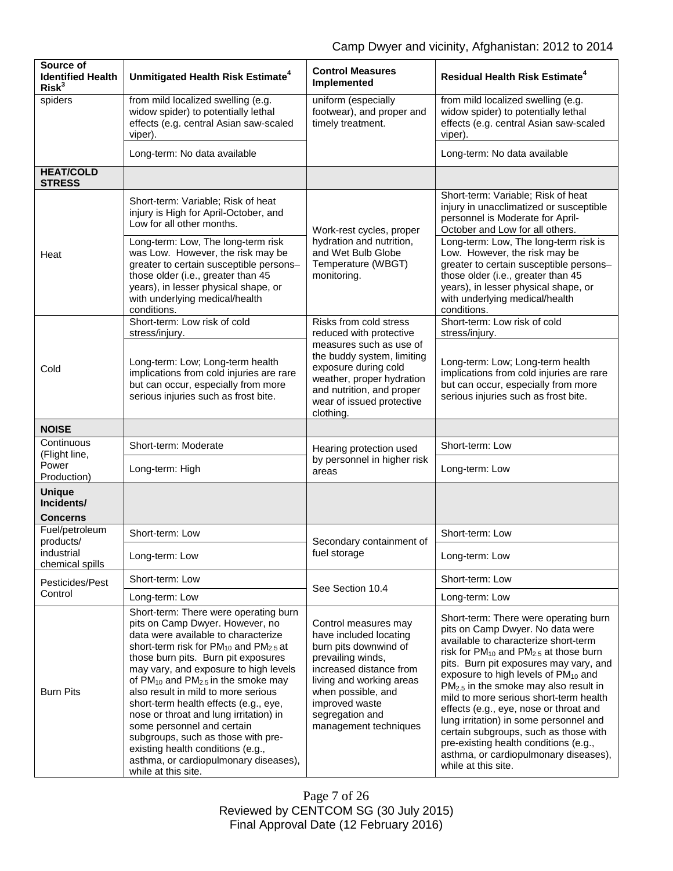| Source of<br><b>Identified Health</b><br>Risk <sup>3</sup> | Unmitigated Health Risk Estimate <sup>4</sup>                                                                                                                                                                                                                                                                                                                                                                                                                                                                                                                                                                                     | <b>Control Measures</b><br>Implemented                                                                                                                                                                                                  | <b>Residual Health Risk Estimate<sup>4</sup></b>                                                                                                                                                                                                                                                                                                                                                                                                                                                                                                                                             |
|------------------------------------------------------------|-----------------------------------------------------------------------------------------------------------------------------------------------------------------------------------------------------------------------------------------------------------------------------------------------------------------------------------------------------------------------------------------------------------------------------------------------------------------------------------------------------------------------------------------------------------------------------------------------------------------------------------|-----------------------------------------------------------------------------------------------------------------------------------------------------------------------------------------------------------------------------------------|----------------------------------------------------------------------------------------------------------------------------------------------------------------------------------------------------------------------------------------------------------------------------------------------------------------------------------------------------------------------------------------------------------------------------------------------------------------------------------------------------------------------------------------------------------------------------------------------|
| spiders                                                    | from mild localized swelling (e.g.<br>widow spider) to potentially lethal<br>effects (e.g. central Asian saw-scaled<br>viper).                                                                                                                                                                                                                                                                                                                                                                                                                                                                                                    | uniform (especially<br>footwear), and proper and<br>timely treatment.                                                                                                                                                                   | from mild localized swelling (e.g.<br>widow spider) to potentially lethal<br>effects (e.g. central Asian saw-scaled<br>viper).                                                                                                                                                                                                                                                                                                                                                                                                                                                               |
|                                                            | Long-term: No data available                                                                                                                                                                                                                                                                                                                                                                                                                                                                                                                                                                                                      |                                                                                                                                                                                                                                         | Long-term: No data available                                                                                                                                                                                                                                                                                                                                                                                                                                                                                                                                                                 |
| <b>HEAT/COLD</b><br><b>STRESS</b>                          |                                                                                                                                                                                                                                                                                                                                                                                                                                                                                                                                                                                                                                   |                                                                                                                                                                                                                                         |                                                                                                                                                                                                                                                                                                                                                                                                                                                                                                                                                                                              |
| Heat                                                       | Short-term: Variable; Risk of heat<br>injury is High for April-October, and<br>Low for all other months.                                                                                                                                                                                                                                                                                                                                                                                                                                                                                                                          | Work-rest cycles, proper<br>hydration and nutrition,<br>and Wet Bulb Globe<br>Temperature (WBGT)<br>monitoring.                                                                                                                         | Short-term: Variable; Risk of heat<br>injury in unacclimatized or susceptible<br>personnel is Moderate for April-<br>October and Low for all others.                                                                                                                                                                                                                                                                                                                                                                                                                                         |
|                                                            | Long-term: Low, The long-term risk<br>was Low. However, the risk may be<br>greater to certain susceptible persons-<br>those older (i.e., greater than 45<br>years), in lesser physical shape, or<br>with underlying medical/health<br>conditions.                                                                                                                                                                                                                                                                                                                                                                                 |                                                                                                                                                                                                                                         | Long-term: Low, The long-term risk is<br>Low. However, the risk may be<br>greater to certain susceptible persons-<br>those older (i.e., greater than 45<br>years), in lesser physical shape, or<br>with underlying medical/health<br>conditions.                                                                                                                                                                                                                                                                                                                                             |
| Cold                                                       | Short-term: Low risk of cold<br>stress/injury.                                                                                                                                                                                                                                                                                                                                                                                                                                                                                                                                                                                    | Risks from cold stress<br>reduced with protective                                                                                                                                                                                       | Short-term: Low risk of cold<br>stress/injury.                                                                                                                                                                                                                                                                                                                                                                                                                                                                                                                                               |
|                                                            | Long-term: Low; Long-term health<br>implications from cold injuries are rare<br>but can occur, especially from more<br>serious injuries such as frost bite.                                                                                                                                                                                                                                                                                                                                                                                                                                                                       | measures such as use of<br>the buddy system, limiting<br>exposure during cold<br>weather, proper hydration<br>and nutrition, and proper<br>wear of issued protective<br>clothing.                                                       | Long-term: Low; Long-term health<br>implications from cold injuries are rare<br>but can occur, especially from more<br>serious injuries such as frost bite.                                                                                                                                                                                                                                                                                                                                                                                                                                  |
| <b>NOISE</b>                                               |                                                                                                                                                                                                                                                                                                                                                                                                                                                                                                                                                                                                                                   |                                                                                                                                                                                                                                         |                                                                                                                                                                                                                                                                                                                                                                                                                                                                                                                                                                                              |
| Continuous<br>(Flight line,                                | Short-term: Moderate                                                                                                                                                                                                                                                                                                                                                                                                                                                                                                                                                                                                              | Hearing protection used<br>by personnel in higher risk<br>areas                                                                                                                                                                         | Short-term: Low                                                                                                                                                                                                                                                                                                                                                                                                                                                                                                                                                                              |
| Power<br>Production)                                       | Long-term: High                                                                                                                                                                                                                                                                                                                                                                                                                                                                                                                                                                                                                   |                                                                                                                                                                                                                                         | Long-term: Low                                                                                                                                                                                                                                                                                                                                                                                                                                                                                                                                                                               |
| <b>Unique</b><br>Incidents/<br><b>Concerns</b>             |                                                                                                                                                                                                                                                                                                                                                                                                                                                                                                                                                                                                                                   |                                                                                                                                                                                                                                         |                                                                                                                                                                                                                                                                                                                                                                                                                                                                                                                                                                                              |
| Fuel/petroleum<br>products/                                | Short-term: Low                                                                                                                                                                                                                                                                                                                                                                                                                                                                                                                                                                                                                   | Secondary containment of<br>fuel storage                                                                                                                                                                                                | Short-term: Low                                                                                                                                                                                                                                                                                                                                                                                                                                                                                                                                                                              |
| industrial<br>chemical spills                              | Long-term: Low                                                                                                                                                                                                                                                                                                                                                                                                                                                                                                                                                                                                                    |                                                                                                                                                                                                                                         | Long-term: Low                                                                                                                                                                                                                                                                                                                                                                                                                                                                                                                                                                               |
| Pesticides/Pest                                            | Short-term: Low                                                                                                                                                                                                                                                                                                                                                                                                                                                                                                                                                                                                                   | See Section 10.4                                                                                                                                                                                                                        | Short-term: Low                                                                                                                                                                                                                                                                                                                                                                                                                                                                                                                                                                              |
| Control                                                    | Long-term: Low                                                                                                                                                                                                                                                                                                                                                                                                                                                                                                                                                                                                                    |                                                                                                                                                                                                                                         | Long-term: Low                                                                                                                                                                                                                                                                                                                                                                                                                                                                                                                                                                               |
| <b>Burn Pits</b>                                           | Short-term: There were operating burn<br>pits on Camp Dwyer. However, no<br>data were available to characterize<br>short-term risk for PM <sub>10</sub> and PM <sub>2.5</sub> at<br>those burn pits. Burn pit exposures<br>may vary, and exposure to high levels<br>of PM <sub>10</sub> and PM <sub>2.5</sub> in the smoke may<br>also result in mild to more serious<br>short-term health effects (e.g., eye,<br>nose or throat and lung irritation) in<br>some personnel and certain<br>subgroups, such as those with pre-<br>existing health conditions (e.g.,<br>asthma, or cardiopulmonary diseases),<br>while at this site. | Control measures may<br>have included locating<br>burn pits downwind of<br>prevailing winds,<br>increased distance from<br>living and working areas<br>when possible, and<br>improved waste<br>segregation and<br>management techniques | Short-term: There were operating burn<br>pits on Camp Dwyer. No data were<br>available to characterize short-term<br>risk for $PM_{10}$ and $PM_{2.5}$ at those burn<br>pits. Burn pit exposures may vary, and<br>exposure to high levels of PM <sub>10</sub> and<br>$PM2.5$ in the smoke may also result in<br>mild to more serious short-term health<br>effects (e.g., eye, nose or throat and<br>lung irritation) in some personnel and<br>certain subgroups, such as those with<br>pre-existing health conditions (e.g.,<br>asthma, or cardiopulmonary diseases),<br>while at this site. |

Page 7 of 26 Reviewed by CENTCOM SG (30 July 2015) Final Approval Date (12 February 2016)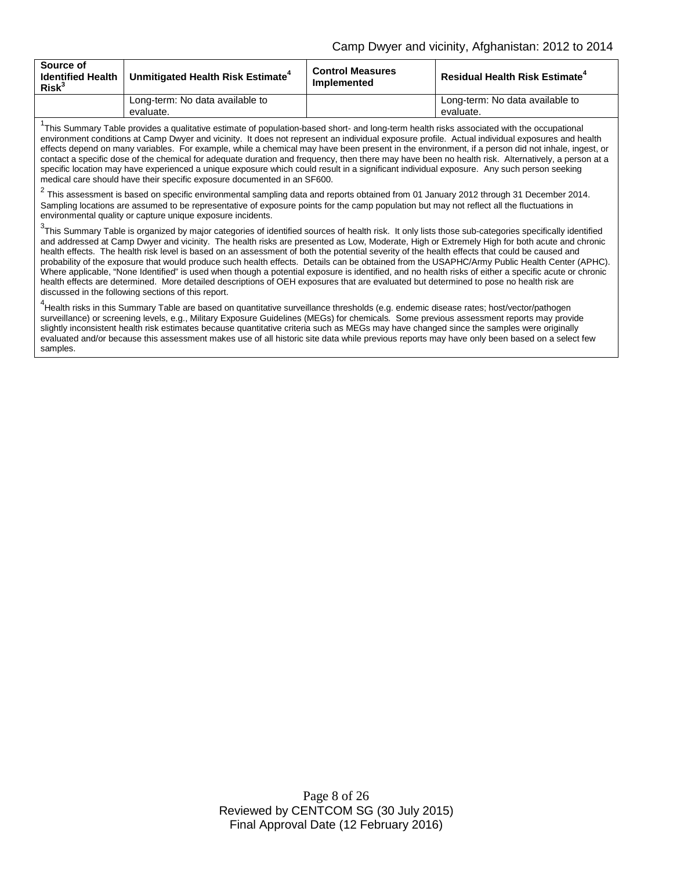| Source of<br><b>Identified Health</b><br>$\mathsf{Risk}^3$ | Unmitigated Health Risk Estimate <sup>4</sup> | <b>Control Measures</b><br><b>Implemented</b> | <b>Residual Health Risk Estimate<sup>4</sup></b> |
|------------------------------------------------------------|-----------------------------------------------|-----------------------------------------------|--------------------------------------------------|
|                                                            | Long-term: No data available to               |                                               | Long-term: No data available to                  |
|                                                            | evaluate.                                     |                                               | evaluate.                                        |

<sup>1</sup>This Summary Table provides a qualitative estimate of population-based short- and long-term health risks associated with the occupational environment conditions at Camp Dwyer and vicinity. It does not represent an individual exposure profile. Actual individual exposures and health effects depend on many variables. For example, while a chemical may have been present in the environment, if a person did not inhale, ingest, or contact a specific dose of the chemical for adequate duration and frequency, then there may have been no health risk. Alternatively, a person at a specific location may have experienced a unique exposure which could result in a significant individual exposure. Any such person seeking medical care should have their specific exposure documented in an SF600.

 $^2$  This assessment is based on specific environmental sampling data and reports obtained from 01 January 2012 through 31 December 2014. Sampling locations are assumed to be representative of exposure points for the camp population but may not reflect all the fluctuations in environmental quality or capture unique exposure incidents.

 $^3$ This Summary Table is organized by major categories of identified sources of health risk. It only lists those sub-categories specifically identified and addressed at Camp Dwyer and vicinity. The health risks are presented as Low, Moderate, High or Extremely High for both acute and chronic health effects. The health risk level is based on an assessment of both the potential severity of the health effects that could be caused and probability of the exposure that would produce such health effects. Details can be obtained from the USAPHC/Army Public Health Center (APHC). Where applicable, "None Identified" is used when though a potential exposure is identified, and no health risks of either a specific acute or chronic health effects are determined. More detailed descriptions of OEH exposures that are evaluated but determined to pose no health risk are discussed in the following sections of this report.

<sup>4</sup><br>Health risks in this Summary Table are based on quantitative surveillance thresholds (e.g. endemic disease rates; host/vector/pathogen surveillance) or screening levels, e.g., Military Exposure Guidelines (MEGs) for chemicals*.* Some previous assessment reports may provide slightly inconsistent health risk estimates because quantitative criteria such as MEGs may have changed since the samples were originally evaluated and/or because this assessment makes use of all historic site data while previous reports may have only been based on a select few samples.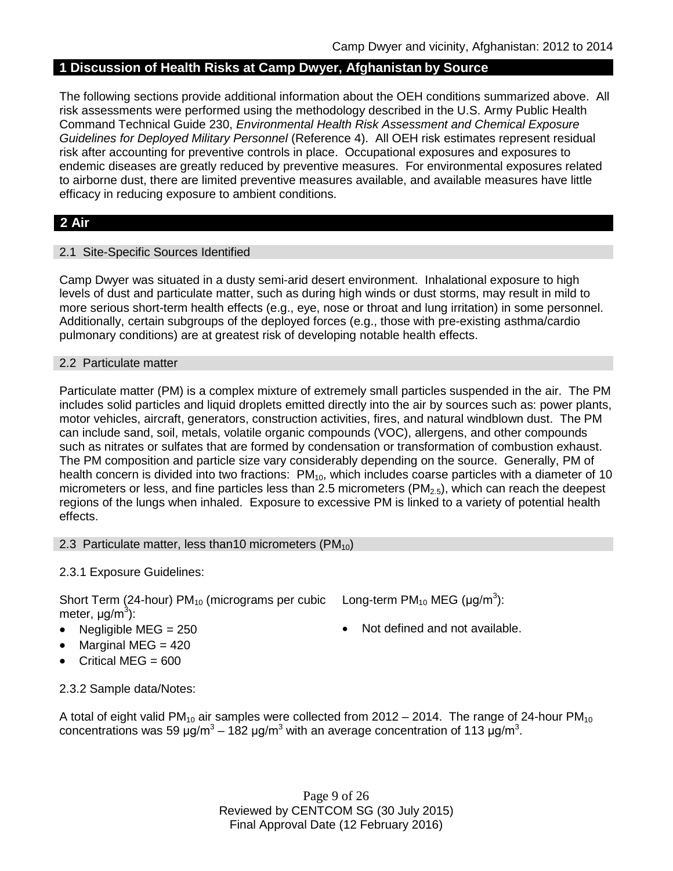# **1 Discussion of Health Risks at Camp Dwyer, Afghanistan by Source**

The following sections provide additional information about the OEH conditions summarized above. All risk assessments were performed using the methodology described in the U.S. Army Public Health Command Technical Guide 230, *Environmental Health Risk Assessment and Chemical Exposure Guidelines for Deployed Military Personnel* (Reference 4). All OEH risk estimates represent residual risk after accounting for preventive controls in place. Occupational exposures and exposures to endemic diseases are greatly reduced by preventive measures. For environmental exposures related to airborne dust, there are limited preventive measures available, and available measures have little efficacy in reducing exposure to ambient conditions.

# **2 Air**

### 2.1 Site-Specific Sources Identified

Camp Dwyer was situated in a dusty semi-arid desert environment. Inhalational exposure to high levels of dust and particulate matter, such as during high winds or dust storms, may result in mild to more serious short-term health effects (e.g., eye, nose or throat and lung irritation) in some personnel. Additionally, certain subgroups of the deployed forces (e.g., those with pre-existing asthma/cardio pulmonary conditions) are at greatest risk of developing notable health effects.

#### 2.2 Particulate matter

Particulate matter (PM) is a complex mixture of extremely small particles suspended in the air. The PM includes solid particles and liquid droplets emitted directly into the air by sources such as: power plants, motor vehicles, aircraft, generators, construction activities, fires, and natural windblown dust. The PM can include sand, soil, metals, volatile organic compounds (VOC), allergens, and other compounds such as nitrates or sulfates that are formed by condensation or transformation of combustion exhaust. The PM composition and particle size vary considerably depending on the source. Generally, PM of health concern is divided into two fractions:  $PM_{10}$ , which includes coarse particles with a diameter of 10 micrometers or less, and fine particles less than 2.5 micrometers ( $PM<sub>2.5</sub>$ ), which can reach the deepest regions of the lungs when inhaled. Exposure to excessive PM is linked to a variety of potential health effects.

### 2.3 Particulate matter, less than10 micrometers  $(PM_{10})$

### 2.3.1 Exposure Guidelines:

Short Term (24-hour) PM<sub>10</sub> (micrograms per cubic Long-term PM<sub>10</sub> MEG (µg/m<sup>3</sup>): meter, μg/m<sup>3</sup>):

- 
- Marginal MEG  $= 420$
- Critical MEG = 600
- 
- Negligible MEG = 250 Not defined and not available.

2.3.2 Sample data/Notes:

A total of eight valid PM<sub>10</sub> air samples were collected from 2012 – 2014. The range of 24-hour PM<sub>10</sub> concentrations was 59 μg/m<sup>3</sup> – 182 μg/m<sup>3</sup> with an average concentration of 113 μg/m<sup>3</sup>.

> Page 9 of 26 Reviewed by CENTCOM SG (30 July 2015) Final Approval Date (12 February 2016)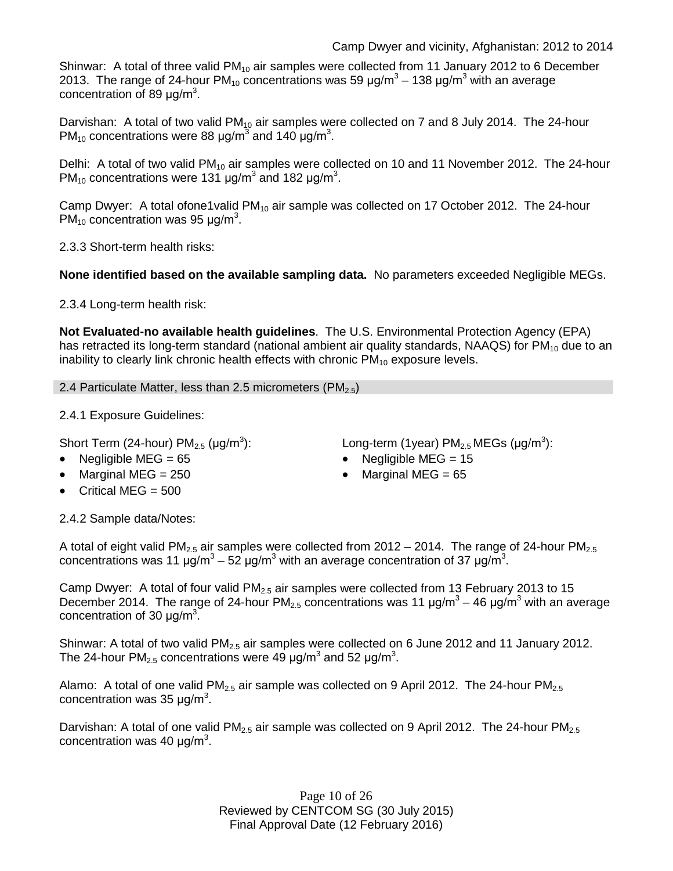Shinwar: A total of three valid  $PM_{10}$  air samples were collected from 11 January 2012 to 6 December 2013. The range of 24-hour PM<sub>10</sub> concentrations was 59  $\mu q/m^3$  – 138  $\mu q/m^3$  with an average concentration of 89  $\mu$ g/m<sup>3</sup>.

Darvishan: A total of two valid  $PM_{10}$  air samples were collected on 7 and 8 July 2014. The 24-hour PM<sub>10</sub> concentrations were 88 μg/m<sup>3</sup> and 140 μg/m<sup>3</sup>.

Delhi: A total of two valid  $PM_{10}$  air samples were collected on 10 and 11 November 2012. The 24-hour PM<sub>10</sub> concentrations were 131  $\mu$ g/m<sup>3</sup> and 182  $\mu$ g/m<sup>3</sup>.

Camp Dwyer: A total ofone1valid  $PM_{10}$  air sample was collected on 17 October 2012. The 24-hour PM<sub>10</sub> concentration was 95  $\mu$ g/m<sup>3</sup>.

2.3.3 Short-term health risks:

**None identified based on the available sampling data.** No parameters exceeded Negligible MEGs.

2.3.4 Long-term health risk:

**Not Evaluated-no available health guidelines**. The U.S. Environmental Protection Agency (EPA) has retracted its long-term standard (national ambient air quality standards, NAAQS) for  $PM_{10}$  due to an inability to clearly link chronic health effects with chronic  $PM_{10}$  exposure levels.

2.4 Particulate Matter, less than 2.5 micrometers (PM<sub>2.5</sub>)

2.4.1 Exposure Guidelines:

Short Term (24-hour)  $PM_{2.5}$  ( $\mu$ g/m<sup>3</sup>):

- Negligible MEG = 65 Negligible MEG = 15
- $\text{Marginal MEG} = 250$  Marginal MEG = 65
- Critical MEG = 500

): Long-term (1year)  $PM_{2.5}$  MEGs ( $\mu$ g/m<sup>3</sup>):

- 
- 

2.4.2 Sample data/Notes:

A total of eight valid PM<sub>2.5</sub> air samples were collected from 2012 – 2014. The range of 24-hour PM<sub>2.5</sub> concentrations was 11 μg/m<sup>3</sup> – 52 μg/m<sup>3</sup> with an average concentration of 37 μg/m<sup>3</sup>.

Camp Dwyer: A total of four valid  $PM<sub>2.5</sub>$  air samples were collected from 13 February 2013 to 15 December 2014. The range of 24-hour PM<sub>2.5</sub> concentrations was 11  $\mu$ g/m<sup>3</sup> – 46  $\mu$ g/m<sup>3</sup> with an average concentration of 30  $\mu$ g/m<sup>3</sup>.

Shinwar: A total of two valid  $PM<sub>2.5</sub>$  air samples were collected on 6 June 2012 and 11 January 2012. The 24-hour PM $_{2.5}$  concentrations were 49  $\mu$ g/m $^3$  and 52  $\mu$ g/m $^3$ .

Alamo: A total of one valid  $PM_{2.5}$  air sample was collected on 9 April 2012. The 24-hour  $PM_{2.5}$ concentration was 35  $\mu$ g/m<sup>3</sup>.

Darvishan: A total of one valid PM<sub>2.5</sub> air sample was collected on 9 April 2012. The 24-hour PM<sub>2.5</sub> concentration was 40  $\mu$ g/m<sup>3</sup>.

> Page 10 of 26 Reviewed by CENTCOM SG (30 July 2015) Final Approval Date (12 February 2016)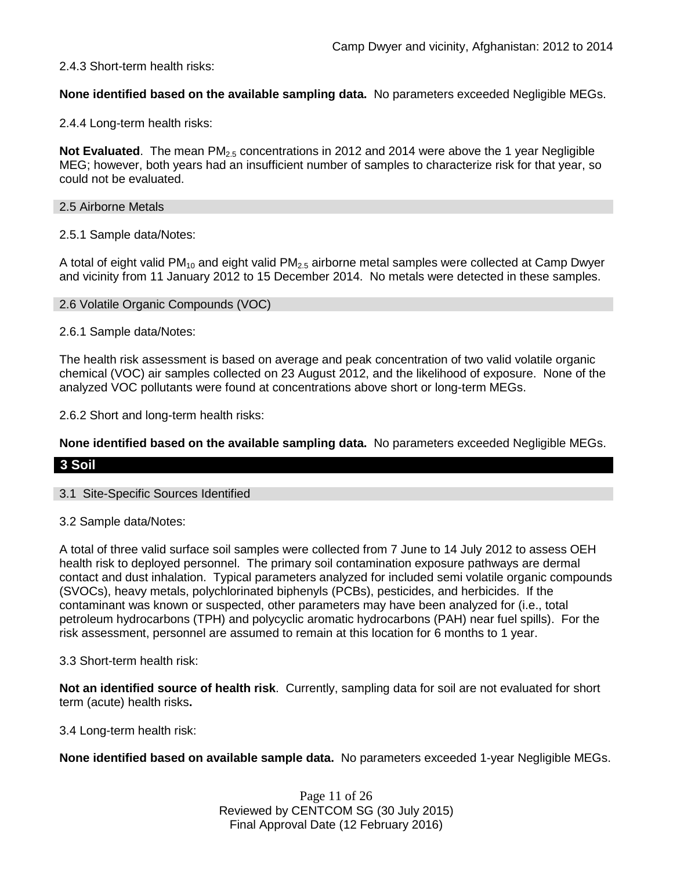#### 2.4.3 Short-term health risks:

**None identified based on the available sampling data.** No parameters exceeded Negligible MEGs.

2.4.4 Long-term health risks:

**Not Evaluated.** The mean PM<sub>2.5</sub> concentrations in 2012 and 2014 were above the 1 year Negligible MEG; however, both years had an insufficient number of samples to characterize risk for that year, so could not be evaluated.

#### 2.5 Airborne Metals

2.5.1 Sample data/Notes:

A total of eight valid PM<sub>10</sub> and eight valid PM<sub>2.5</sub> airborne metal samples were collected at Camp Dwyer and vicinity from 11 January 2012 to 15 December 2014. No metals were detected in these samples.

#### 2.6 Volatile Organic Compounds (VOC)

2.6.1 Sample data/Notes:

The health risk assessment is based on average and peak concentration of two valid volatile organic chemical (VOC) air samples collected on 23 August 2012, and the likelihood of exposure. None of the analyzed VOC pollutants were found at concentrations above short or long-term MEGs.

2.6.2 Short and long-term health risks:

**None identified based on the available sampling data.** No parameters exceeded Negligible MEGs.

#### **3 Soil**

#### 3.1 Site-Specific Sources Identified

3.2 Sample data/Notes:

A total of three valid surface soil samples were collected from 7 June to 14 July 2012 to assess OEH health risk to deployed personnel. The primary soil contamination exposure pathways are dermal contact and dust inhalation. Typical parameters analyzed for included semi volatile organic compounds (SVOCs), heavy metals, polychlorinated biphenyls (PCBs), pesticides, and herbicides. If the contaminant was known or suspected, other parameters may have been analyzed for (i.e., total petroleum hydrocarbons (TPH) and polycyclic aromatic hydrocarbons (PAH) near fuel spills). For the risk assessment, personnel are assumed to remain at this location for 6 months to 1 year.

3.3 Short-term health risk:

**Not an identified source of health risk**. Currently, sampling data for soil are not evaluated for short term (acute) health risks**.**

3.4 Long-term health risk:

**None identified based on available sample data.** No parameters exceeded 1-year Negligible MEGs.

Page 11 of 26 Reviewed by CENTCOM SG (30 July 2015) Final Approval Date (12 February 2016)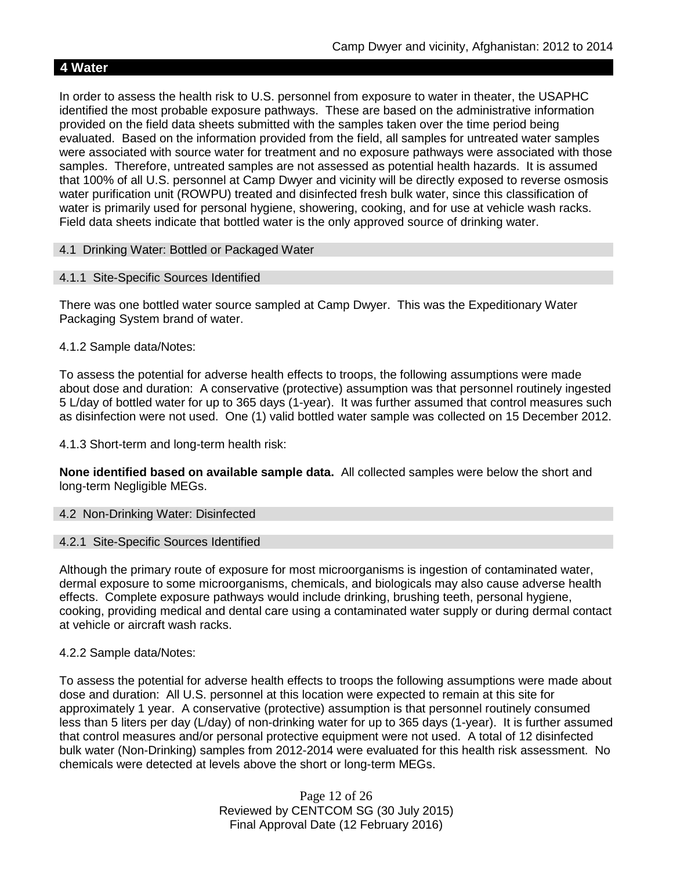# **4 Water**

In order to assess the health risk to U.S. personnel from exposure to water in theater, the USAPHC identified the most probable exposure pathways. These are based on the administrative information provided on the field data sheets submitted with the samples taken over the time period being evaluated. Based on the information provided from the field, all samples for untreated water samples were associated with source water for treatment and no exposure pathways were associated with those samples. Therefore, untreated samples are not assessed as potential health hazards. It is assumed that 100% of all U.S. personnel at Camp Dwyer and vicinity will be directly exposed to reverse osmosis water purification unit (ROWPU) treated and disinfected fresh bulk water, since this classification of water is primarily used for personal hygiene, showering, cooking, and for use at vehicle wash racks. Field data sheets indicate that bottled water is the only approved source of drinking water.

### 4.1 Drinking Water: Bottled or Packaged Water

#### 4.1.1 Site-Specific Sources Identified

There was one bottled water source sampled at Camp Dwyer. This was the Expeditionary Water Packaging System brand of water.

#### 4.1.2 Sample data/Notes:

To assess the potential for adverse health effects to troops, the following assumptions were made about dose and duration: A conservative (protective) assumption was that personnel routinely ingested 5 L/day of bottled water for up to 365 days (1-year). It was further assumed that control measures such as disinfection were not used. One (1) valid bottled water sample was collected on 15 December 2012.

4.1.3 Short-term and long-term health risk:

**None identified based on available sample data.** All collected samples were below the short and long-term Negligible MEGs.

#### 4.2 Non-Drinking Water: Disinfected

#### 4.2.1 Site-Specific Sources Identified

Although the primary route of exposure for most microorganisms is ingestion of contaminated water, dermal exposure to some microorganisms, chemicals, and biologicals may also cause adverse health effects. Complete exposure pathways would include drinking, brushing teeth, personal hygiene, cooking, providing medical and dental care using a contaminated water supply or during dermal contact at vehicle or aircraft wash racks.

#### 4.2.2 Sample data/Notes:

To assess the potential for adverse health effects to troops the following assumptions were made about dose and duration: All U.S. personnel at this location were expected to remain at this site for approximately 1 year. A conservative (protective) assumption is that personnel routinely consumed less than 5 liters per day (L/day) of non-drinking water for up to 365 days (1-year). It is further assumed that control measures and/or personal protective equipment were not used. A total of 12 disinfected bulk water (Non-Drinking) samples from 2012-2014 were evaluated for this health risk assessment. No chemicals were detected at levels above the short or long-term MEGs.

> Page 12 of 26 Reviewed by CENTCOM SG (30 July 2015) Final Approval Date (12 February 2016)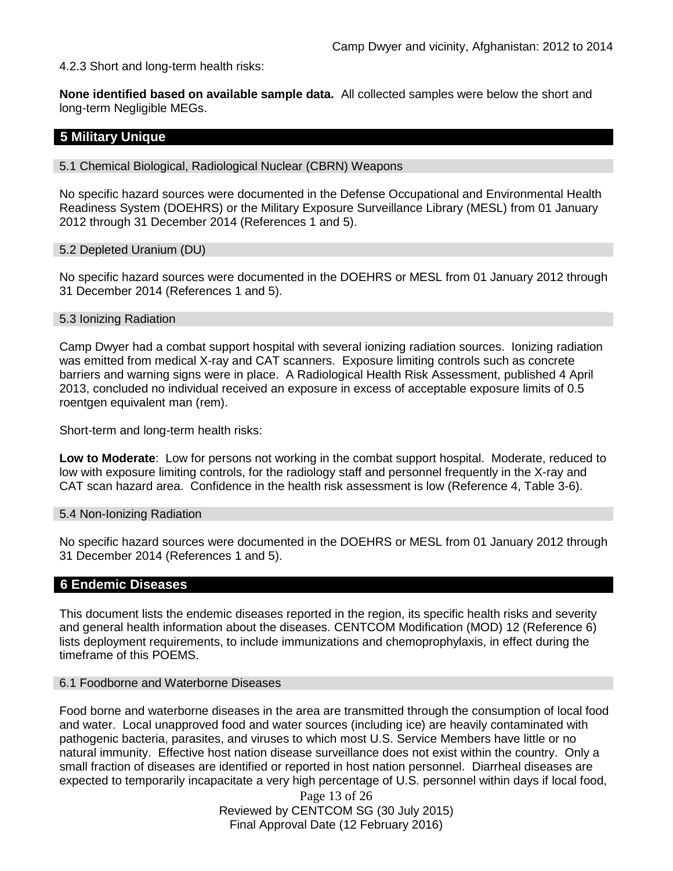4.2.3 Short and long-term health risks:

**None identified based on available sample data.** All collected samples were below the short and long-term Negligible MEGs.

# **5 Military Unique**

5.1 Chemical Biological, Radiological Nuclear (CBRN) Weapons

No specific hazard sources were documented in the Defense Occupational and Environmental Health Readiness System (DOEHRS) or the Military Exposure Surveillance Library (MESL) from 01 January 2012 through 31 December 2014 (References 1 and 5).

5.2 Depleted Uranium (DU)

No specific hazard sources were documented in the DOEHRS or MESL from 01 January 2012 through 31 December 2014 (References 1 and 5).

#### 5.3 Ionizing Radiation

Camp Dwyer had a combat support hospital with several ionizing radiation sources. Ionizing radiation was emitted from medical X-ray and CAT scanners. Exposure limiting controls such as concrete barriers and warning signs were in place. A Radiological Health Risk Assessment, published 4 April 2013, concluded no individual received an exposure in excess of acceptable exposure limits of 0.5 roentgen equivalent man (rem).

Short-term and long-term health risks:

**Low to Moderate**: Low for persons not working in the combat support hospital. Moderate, reduced to low with exposure limiting controls, for the radiology staff and personnel frequently in the X-ray and CAT scan hazard area. Confidence in the health risk assessment is low (Reference 4, Table 3-6).

#### 5.4 Non-Ionizing Radiation

No specific hazard sources were documented in the DOEHRS or MESL from 01 January 2012 through 31 December 2014 (References 1 and 5).

#### **6 Endemic Diseases**

This document lists the endemic diseases reported in the region, its specific health risks and severity and general health information about the diseases. CENTCOM Modification (MOD) 12 (Reference 6) lists deployment requirements, to include immunizations and chemoprophylaxis, in effect during the timeframe of this POEMS.

#### 6.1 Foodborne and Waterborne Diseases

Food borne and waterborne diseases in the area are transmitted through the consumption of local food and water. Local unapproved food and water sources (including ice) are heavily contaminated with pathogenic bacteria, parasites, and viruses to which most U.S. Service Members have little or no natural immunity. Effective host nation disease surveillance does not exist within the country. Only a small fraction of diseases are identified or reported in host nation personnel. Diarrheal diseases are expected to temporarily incapacitate a very high percentage of U.S. personnel within days if local food,

> Page 13 of 26 Reviewed by CENTCOM SG (30 July 2015) Final Approval Date (12 February 2016)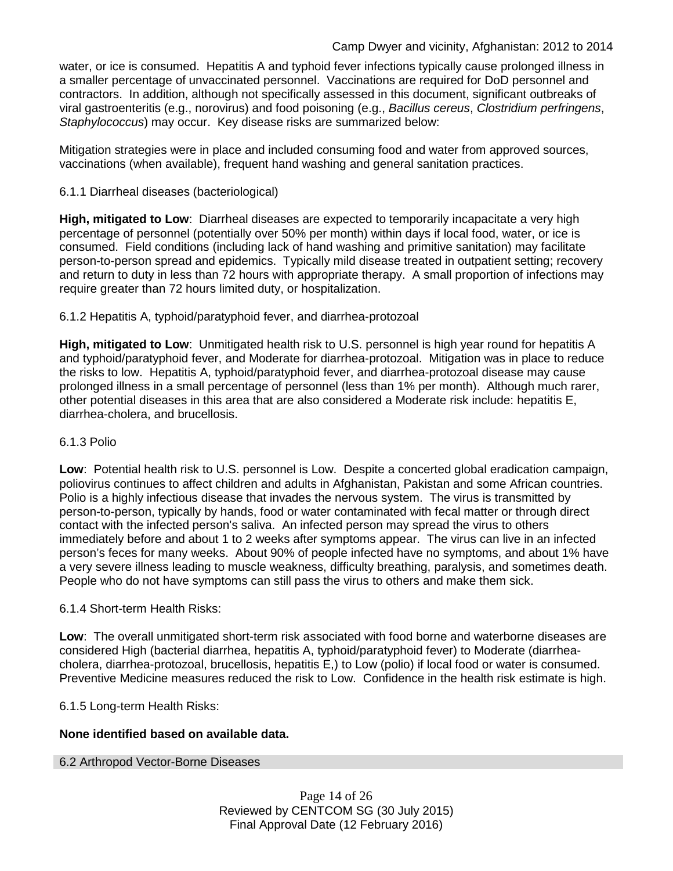water, or ice is consumed. Hepatitis A and typhoid fever infections typically cause prolonged illness in a smaller percentage of unvaccinated personnel. Vaccinations are required for DoD personnel and contractors. In addition, although not specifically assessed in this document, significant outbreaks of viral gastroenteritis (e.g., norovirus) and food poisoning (e.g., *Bacillus cereus*, *Clostridium perfringens*, *Staphylococcus*) may occur. Key disease risks are summarized below:

Mitigation strategies were in place and included consuming food and water from approved sources, vaccinations (when available), frequent hand washing and general sanitation practices.

### 6.1.1 Diarrheal diseases (bacteriological)

**High, mitigated to Low**: Diarrheal diseases are expected to temporarily incapacitate a very high percentage of personnel (potentially over 50% per month) within days if local food, water, or ice is consumed. Field conditions (including lack of hand washing and primitive sanitation) may facilitate person-to-person spread and epidemics. Typically mild disease treated in outpatient setting; recovery and return to duty in less than 72 hours with appropriate therapy. A small proportion of infections may require greater than 72 hours limited duty, or hospitalization.

# 6.1.2 Hepatitis A, typhoid/paratyphoid fever, and diarrhea-protozoal

**High, mitigated to Low**: Unmitigated health risk to U.S. personnel is high year round for hepatitis A and typhoid/paratyphoid fever, and Moderate for diarrhea-protozoal. Mitigation was in place to reduce the risks to low. Hepatitis A, typhoid/paratyphoid fever, and diarrhea-protozoal disease may cause prolonged illness in a small percentage of personnel (less than 1% per month). Although much rarer, other potential diseases in this area that are also considered a Moderate risk include: hepatitis E, diarrhea-cholera, and brucellosis.

### 6.1.3 Polio

**Low**: Potential health risk to U.S. personnel is Low. Despite a concerted global eradication campaign, poliovirus continues to affect children and adults in Afghanistan, Pakistan and some African countries. Polio is a highly infectious disease that invades the nervous system. The virus is transmitted by person-to-person, typically by hands, food or water contaminated with fecal matter or through direct contact with the infected person's saliva. An infected person may spread the virus to others immediately before and about 1 to 2 weeks after symptoms appear. The virus can live in an infected person's feces for many weeks. About 90% of people infected have no symptoms, and about 1% have a very severe illness leading to muscle weakness, difficulty breathing, paralysis, and sometimes death. People who do not have symptoms can still pass the virus to others and make them sick.

### 6.1.4 Short-term Health Risks:

**Low**: The overall unmitigated short-term risk associated with food borne and waterborne diseases are considered High (bacterial diarrhea, hepatitis A, typhoid/paratyphoid fever) to Moderate (diarrheacholera, diarrhea-protozoal, brucellosis, hepatitis E,) to Low (polio) if local food or water is consumed. Preventive Medicine measures reduced the risk to Low. Confidence in the health risk estimate is high.

6.1.5 Long-term Health Risks:

### **None identified based on available data.**

6.2 Arthropod Vector-Borne Diseases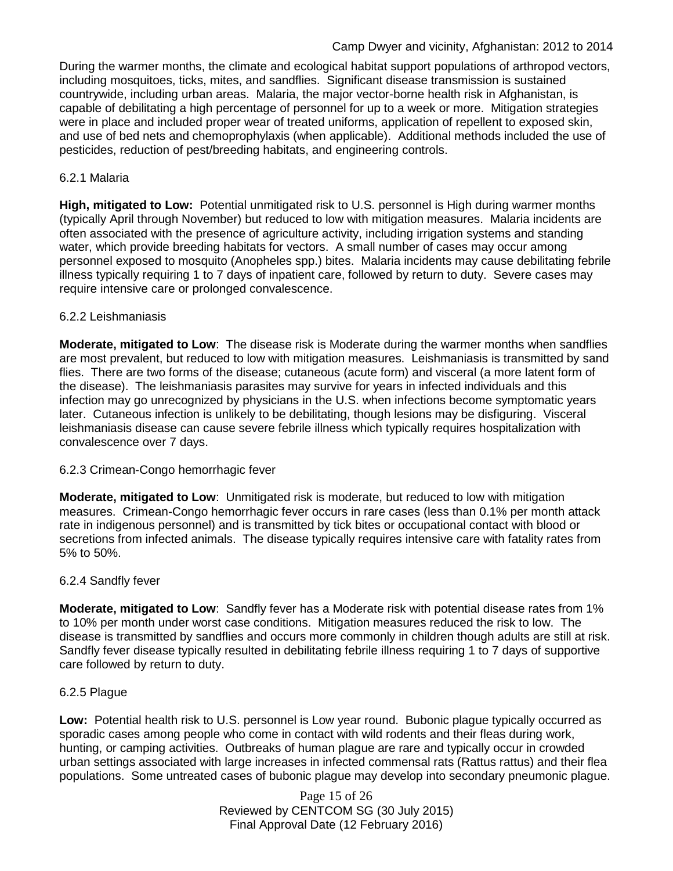During the warmer months, the climate and ecological habitat support populations of arthropod vectors, including mosquitoes, ticks, mites, and sandflies. Significant disease transmission is sustained countrywide, including urban areas. Malaria, the major vector-borne health risk in Afghanistan, is capable of debilitating a high percentage of personnel for up to a week or more. Mitigation strategies were in place and included proper wear of treated uniforms, application of repellent to exposed skin, and use of bed nets and chemoprophylaxis (when applicable). Additional methods included the use of pesticides, reduction of pest/breeding habitats, and engineering controls.

### 6.2.1 Malaria

**High, mitigated to Low:** Potential unmitigated risk to U.S. personnel is High during warmer months (typically April through November) but reduced to low with mitigation measures. Malaria incidents are often associated with the presence of agriculture activity, including irrigation systems and standing water, which provide breeding habitats for vectors. A small number of cases may occur among personnel exposed to mosquito (Anopheles spp.) bites. Malaria incidents may cause debilitating febrile illness typically requiring 1 to 7 days of inpatient care, followed by return to duty. Severe cases may require intensive care or prolonged convalescence.

### 6.2.2 Leishmaniasis

**Moderate, mitigated to Low**: The disease risk is Moderate during the warmer months when sandflies are most prevalent, but reduced to low with mitigation measures. Leishmaniasis is transmitted by sand flies. There are two forms of the disease; cutaneous (acute form) and visceral (a more latent form of the disease). The leishmaniasis parasites may survive for years in infected individuals and this infection may go unrecognized by physicians in the U.S. when infections become symptomatic years later. Cutaneous infection is unlikely to be debilitating, though lesions may be disfiguring. Visceral leishmaniasis disease can cause severe febrile illness which typically requires hospitalization with convalescence over 7 days.

### 6.2.3 Crimean-Congo hemorrhagic fever

**Moderate, mitigated to Low**: Unmitigated risk is moderate, but reduced to low with mitigation measures. Crimean-Congo hemorrhagic fever occurs in rare cases (less than 0.1% per month attack rate in indigenous personnel) and is transmitted by tick bites or occupational contact with blood or secretions from infected animals. The disease typically requires intensive care with fatality rates from 5% to 50%.

### 6.2.4 Sandfly fever

**Moderate, mitigated to Low**: Sandfly fever has a Moderate risk with potential disease rates from 1% to 10% per month under worst case conditions. Mitigation measures reduced the risk to low. The disease is transmitted by sandflies and occurs more commonly in children though adults are still at risk. Sandfly fever disease typically resulted in debilitating febrile illness requiring 1 to 7 days of supportive care followed by return to duty.

### 6.2.5 Plague

**Low:** Potential health risk to U.S. personnel is Low year round. Bubonic plague typically occurred as sporadic cases among people who come in contact with wild rodents and their fleas during work, hunting, or camping activities. Outbreaks of human plague are rare and typically occur in crowded urban settings associated with large increases in infected commensal rats (Rattus rattus) and their flea populations. Some untreated cases of bubonic plague may develop into secondary pneumonic plague.

> Page 15 of 26 Reviewed by CENTCOM SG (30 July 2015) Final Approval Date (12 February 2016)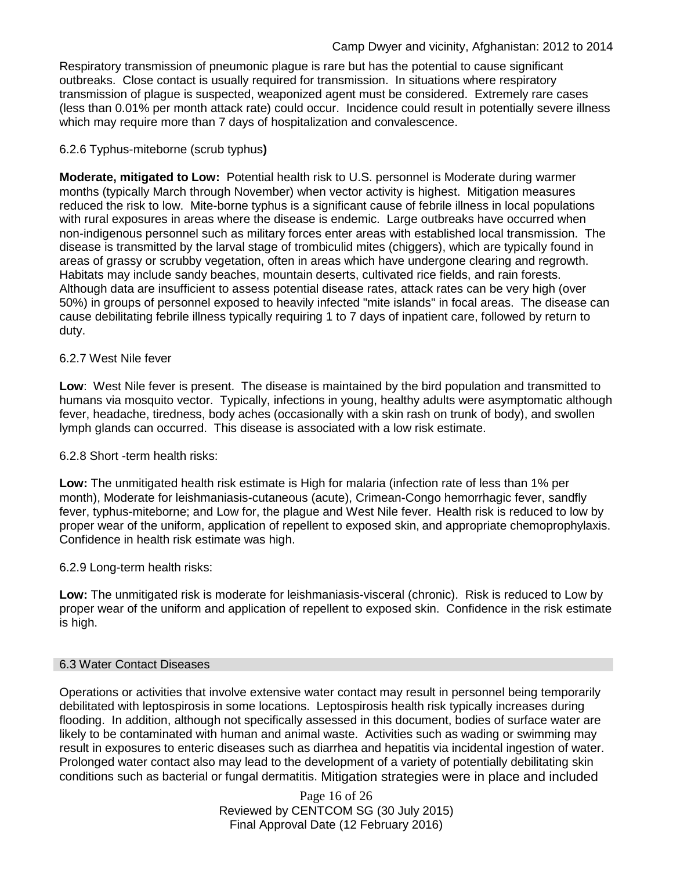Respiratory transmission of pneumonic plague is rare but has the potential to cause significant outbreaks. Close contact is usually required for transmission. In situations where respiratory transmission of plague is suspected, weaponized agent must be considered. Extremely rare cases (less than 0.01% per month attack rate) could occur. Incidence could result in potentially severe illness which may require more than 7 days of hospitalization and convalescence.

### 6.2.6 Typhus-miteborne (scrub typhus**)**

**Moderate, mitigated to Low:** Potential health risk to U.S. personnel is Moderate during warmer months (typically March through November) when vector activity is highest. Mitigation measures reduced the risk to low. Mite-borne typhus is a significant cause of febrile illness in local populations with rural exposures in areas where the disease is endemic. Large outbreaks have occurred when non-indigenous personnel such as military forces enter areas with established local transmission. The disease is transmitted by the larval stage of trombiculid mites (chiggers), which are typically found in areas of grassy or scrubby vegetation, often in areas which have undergone clearing and regrowth. Habitats may include sandy beaches, mountain deserts, cultivated rice fields, and rain forests. Although data are insufficient to assess potential disease rates, attack rates can be very high (over 50%) in groups of personnel exposed to heavily infected "mite islands" in focal areas. The disease can cause debilitating febrile illness typically requiring 1 to 7 days of inpatient care, followed by return to duty.

### 6.2.7 West Nile fever

**Low**: West Nile fever is present. The disease is maintained by the bird population and transmitted to humans via mosquito vector. Typically, infections in young, healthy adults were asymptomatic although fever, headache, tiredness, body aches (occasionally with a skin rash on trunk of body), and swollen lymph glands can occurred. This disease is associated with a low risk estimate.

### 6.2.8 Short -term health risks:

**Low:** The unmitigated health risk estimate is High for malaria (infection rate of less than 1% per month), Moderate for leishmaniasis-cutaneous (acute), Crimean-Congo hemorrhagic fever, sandfly fever, typhus-miteborne; and Low for, the plague and West Nile fever. Health risk is reduced to low by proper wear of the uniform, application of repellent to exposed skin, and appropriate chemoprophylaxis. Confidence in health risk estimate was high.

### 6.2.9 Long-term health risks:

**Low:** The unmitigated risk is moderate for leishmaniasis-visceral (chronic). Risk is reduced to Low by proper wear of the uniform and application of repellent to exposed skin. Confidence in the risk estimate is high.

### 6.3 Water Contact Diseases

Operations or activities that involve extensive water contact may result in personnel being temporarily debilitated with leptospirosis in some locations. Leptospirosis health risk typically increases during flooding. In addition, although not specifically assessed in this document, bodies of surface water are likely to be contaminated with human and animal waste. Activities such as wading or swimming may result in exposures to enteric diseases such as diarrhea and hepatitis via incidental ingestion of water. Prolonged water contact also may lead to the development of a variety of potentially debilitating skin conditions such as bacterial or fungal dermatitis. Mitigation strategies were in place and included

> Page 16 of 26 Reviewed by CENTCOM SG (30 July 2015) Final Approval Date (12 February 2016)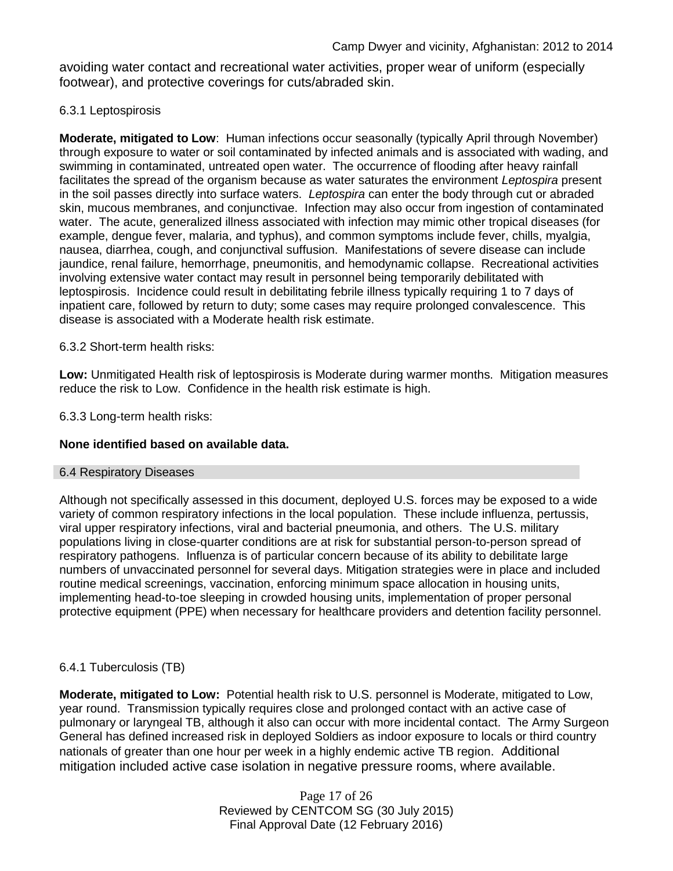avoiding water contact and recreational water activities, proper wear of uniform (especially footwear), and protective coverings for cuts/abraded skin.

### 6.3.1 Leptospirosis

**Moderate, mitigated to Low**: Human infections occur seasonally (typically April through November) through exposure to water or soil contaminated by infected animals and is associated with wading, and swimming in contaminated, untreated open water. The occurrence of flooding after heavy rainfall facilitates the spread of the organism because as water saturates the environment *Leptospira* present in the soil passes directly into surface waters. *Leptospira* can enter the body through cut or abraded skin, mucous membranes, and conjunctivae. Infection may also occur from ingestion of contaminated water. The acute, generalized illness associated with infection may mimic other tropical diseases (for example, dengue fever, malaria, and typhus), and common symptoms include fever, chills, myalgia, nausea, diarrhea, cough, and conjunctival suffusion. Manifestations of severe disease can include jaundice, renal failure, hemorrhage, pneumonitis, and hemodynamic collapse. Recreational activities involving extensive water contact may result in personnel being temporarily debilitated with leptospirosis. Incidence could result in debilitating febrile illness typically requiring 1 to 7 days of inpatient care, followed by return to duty; some cases may require prolonged convalescence. This disease is associated with a Moderate health risk estimate.

#### 6.3.2 Short-term health risks:

**Low:** Unmitigated Health risk of leptospirosis is Moderate during warmer months. Mitigation measures reduce the risk to Low. Confidence in the health risk estimate is high.

6.3.3 Long-term health risks:

### **None identified based on available data.**

#### 6.4 Respiratory Diseases

Although not specifically assessed in this document, deployed U.S. forces may be exposed to a wide variety of common respiratory infections in the local population. These include influenza, pertussis, viral upper respiratory infections, viral and bacterial pneumonia, and others. The U.S. military populations living in close-quarter conditions are at risk for substantial person-to-person spread of respiratory pathogens. Influenza is of particular concern because of its ability to debilitate large numbers of unvaccinated personnel for several days. Mitigation strategies were in place and included routine medical screenings, vaccination, enforcing minimum space allocation in housing units, implementing head-to-toe sleeping in crowded housing units, implementation of proper personal protective equipment (PPE) when necessary for healthcare providers and detention facility personnel.

### 6.4.1 Tuberculosis (TB)

**Moderate, mitigated to Low:** Potential health risk to U.S. personnel is Moderate, mitigated to Low, year round. Transmission typically requires close and prolonged contact with an active case of pulmonary or laryngeal TB, although it also can occur with more incidental contact. The Army Surgeon General has defined increased risk in deployed Soldiers as indoor exposure to locals or third country nationals of greater than one hour per week in a highly endemic active TB region. Additional mitigation included active case isolation in negative pressure rooms, where available.

> Page 17 of 26 Reviewed by CENTCOM SG (30 July 2015) Final Approval Date (12 February 2016)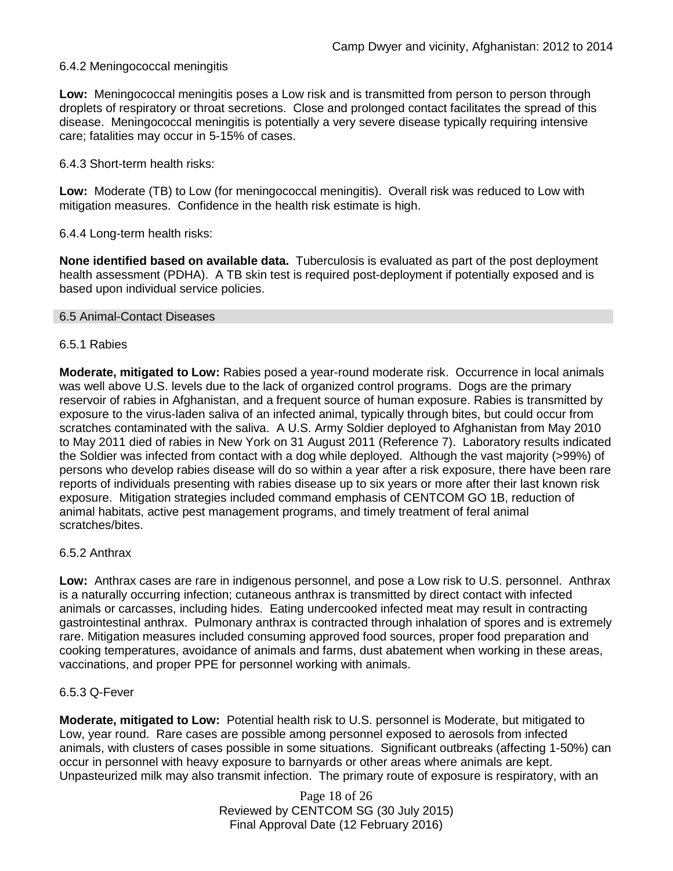### 6.4.2 Meningococcal meningitis

**Low:** Meningococcal meningitis poses a Low risk and is transmitted from person to person through droplets of respiratory or throat secretions. Close and prolonged contact facilitates the spread of this disease. Meningococcal meningitis is potentially a very severe disease typically requiring intensive care; fatalities may occur in 5-15% of cases.

#### 6.4.3 Short-term health risks:

**Low:** Moderate (TB) to Low (for meningococcal meningitis). Overall risk was reduced to Low with mitigation measures. Confidence in the health risk estimate is high.

#### 6.4.4 Long-term health risks:

**None identified based on available data.** Tuberculosis is evaluated as part of the post deployment health assessment (PDHA). A TB skin test is required post-deployment if potentially exposed and is based upon individual service policies.

#### 6.5 Animal-Contact Diseases

#### 6.5.1 Rabies

**Moderate, mitigated to Low:** Rabies posed a year-round moderate risk. Occurrence in local animals was well above U.S. levels due to the lack of organized control programs. Dogs are the primary reservoir of rabies in Afghanistan, and a frequent source of human exposure. Rabies is transmitted by exposure to the virus-laden saliva of an infected animal, typically through bites, but could occur from scratches contaminated with the saliva. A U.S. Army Soldier deployed to Afghanistan from May 2010 to May 2011 died of rabies in New York on 31 August 2011 (Reference 7). Laboratory results indicated the Soldier was infected from contact with a dog while deployed. Although the vast majority (>99%) of persons who develop rabies disease will do so within a year after a risk exposure, there have been rare reports of individuals presenting with rabies disease up to six years or more after their last known risk exposure. Mitigation strategies included command emphasis of CENTCOM GO 1B, reduction of animal habitats, active pest management programs, and timely treatment of feral animal scratches/bites.

#### 6.5.2 Anthrax

**Low:** Anthrax cases are rare in indigenous personnel, and pose a Low risk to U.S. personnel. Anthrax is a naturally occurring infection; cutaneous anthrax is transmitted by direct contact with infected animals or carcasses, including hides. Eating undercooked infected meat may result in contracting gastrointestinal anthrax. Pulmonary anthrax is contracted through inhalation of spores and is extremely rare. Mitigation measures included consuming approved food sources, proper food preparation and cooking temperatures, avoidance of animals and farms, dust abatement when working in these areas, vaccinations, and proper PPE for personnel working with animals.

#### 6.5.3 Q-Fever

**Moderate, mitigated to Low:** Potential health risk to U.S. personnel is Moderate, but mitigated to Low, year round. Rare cases are possible among personnel exposed to aerosols from infected animals, with clusters of cases possible in some situations. Significant outbreaks (affecting 1-50%) can occur in personnel with heavy exposure to barnyards or other areas where animals are kept. Unpasteurized milk may also transmit infection. The primary route of exposure is respiratory, with an

> Page 18 of 26 Reviewed by CENTCOM SG (30 July 2015) Final Approval Date (12 February 2016)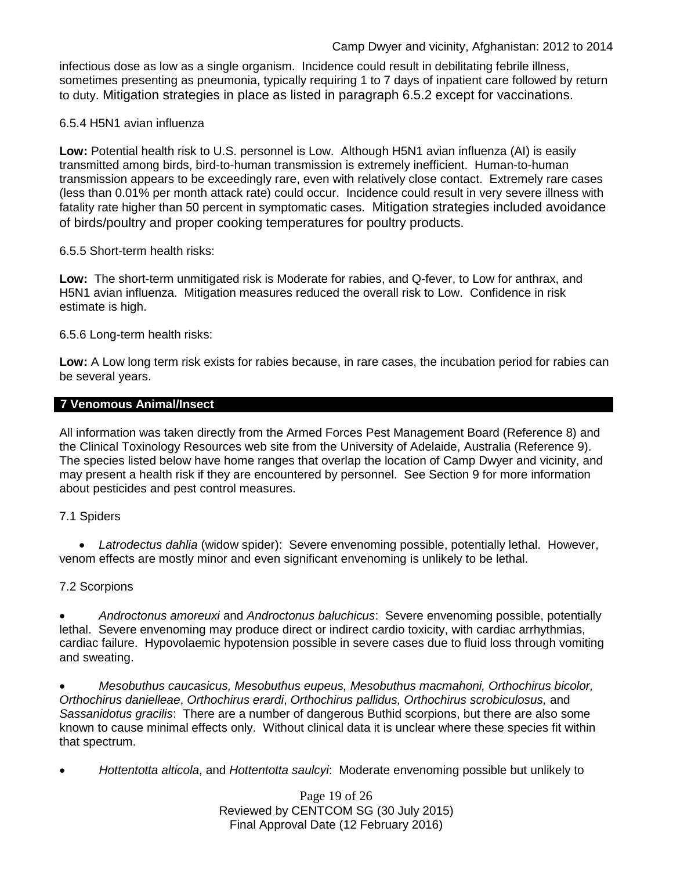infectious dose as low as a single organism. Incidence could result in debilitating febrile illness, sometimes presenting as pneumonia, typically requiring 1 to 7 days of inpatient care followed by return to duty. Mitigation strategies in place as listed in paragraph 6.5.2 except for vaccinations.

### 6.5.4 H5N1 avian influenza

**Low:** Potential health risk to U.S. personnel is Low. Although H5N1 avian influenza (AI) is easily transmitted among birds, bird-to-human transmission is extremely inefficient. Human-to-human transmission appears to be exceedingly rare, even with relatively close contact. Extremely rare cases (less than 0.01% per month attack rate) could occur. Incidence could result in very severe illness with fatality rate higher than 50 percent in symptomatic cases. Mitigation strategies included avoidance of birds/poultry and proper cooking temperatures for poultry products.

### 6.5.5 Short-term health risks:

**Low:** The short-term unmitigated risk is Moderate for rabies, and Q-fever, to Low for anthrax, and H5N1 avian influenza. Mitigation measures reduced the overall risk to Low.Confidence in risk estimate is high.

### 6.5.6 Long-term health risks:

**Low:** A Low long term risk exists for rabies because, in rare cases, the incubation period for rabies can be several years.

#### **7 Venomous Animal/Insect**

All information was taken directly from the Armed Forces Pest Management Board (Reference 8) and the Clinical Toxinology Resources web site from the University of Adelaide, Australia (Reference 9). The species listed below have home ranges that overlap the location of Camp Dwyer and vicinity, and may present a health risk if they are encountered by personnel. See Section 9 for more information about pesticides and pest control measures.

### 7.1 Spiders

• *Latrodectus dahlia* (widow spider): Severe envenoming possible, potentially lethal. However, venom effects are mostly minor and even significant envenoming is unlikely to be lethal.

### 7.2 Scorpions

• *Androctonus amoreuxi* and *Androctonus baluchicus*: Severe envenoming possible, potentially lethal. Severe envenoming may produce direct or indirect cardio toxicity, with cardiac arrhythmias, cardiac failure. Hypovolaemic hypotension possible in severe cases due to fluid loss through vomiting and sweating.

• *Mesobuthus caucasicus, Mesobuthus eupeus, Mesobuthus macmahoni, Orthochirus bicolor, Orthochirus danielleae*, *Orthochirus erardi*, *Orthochirus pallidus, Orthochirus scrobiculosus,* and *Sassanidotus gracilis*: There are a number of dangerous Buthid scorpions, but there are also some known to cause minimal effects only. Without clinical data it is unclear where these species fit within that spectrum.

• *Hottentotta alticola*, and *Hottentotta saulcyi*: Moderate envenoming possible but unlikely to

Page 19 of 26 Reviewed by CENTCOM SG (30 July 2015) Final Approval Date (12 February 2016)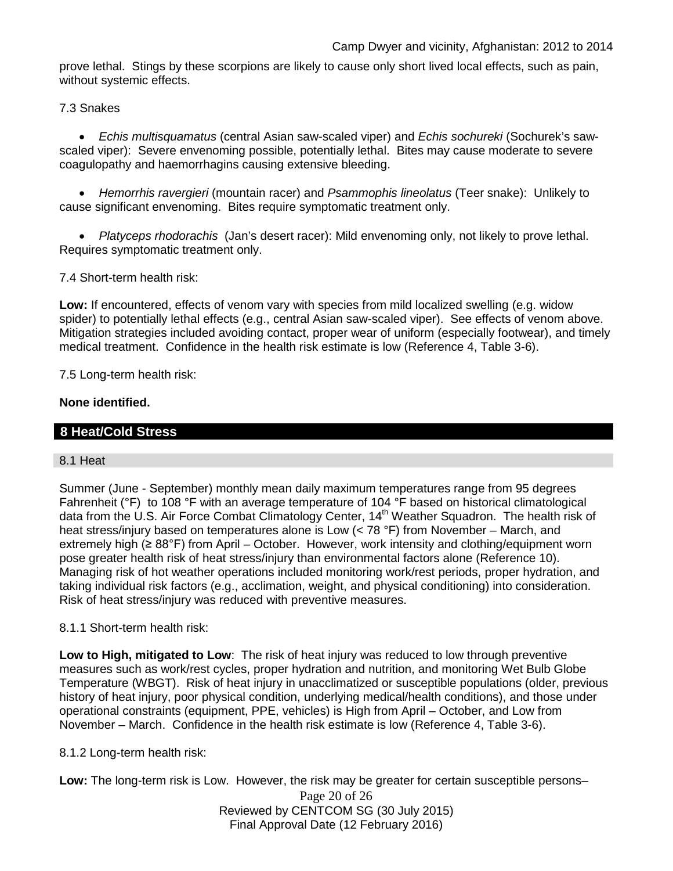prove lethal. Stings by these scorpions are likely to cause only short lived local effects, such as pain, without systemic effects.

# 7.3 Snakes

• *Echis multisquamatus* (central Asian saw-scaled viper) and *Echis sochureki* (Sochurek's sawscaled viper): Severe envenoming possible, potentially lethal. Bites may cause moderate to severe coagulopathy and haemorrhagins causing extensive bleeding.

• *Hemorrhis ravergieri* (mountain racer) and *Psammophis lineolatus* (Teer snake): Unlikely to cause significant envenoming. Bites require symptomatic treatment only.

• *Platyceps rhodorachis* (Jan's desert racer): Mild envenoming only, not likely to prove lethal. Requires symptomatic treatment only.

7.4 Short-term health risk:

**Low:** If encountered, effects of venom vary with species from mild localized swelling (e.g. widow spider) to potentially lethal effects (e.g., central Asian saw-scaled viper). See effects of venom above. Mitigation strategies included avoiding contact, proper wear of uniform (especially footwear), and timely medical treatment. Confidence in the health risk estimate is low (Reference 4, Table 3-6).

7.5 Long-term health risk:

# **None identified.**

# **8 Heat/Cold Stress**

### 8.1 Heat

Summer (June - September) monthly mean daily maximum temperatures range from 95 degrees Fahrenheit (°F) to 108 °F with an average temperature of 104 °F based on historical climatological data from the U.S. Air Force Combat Climatology Center, 14<sup>th</sup> Weather Squadron. The health risk of heat stress/injury based on temperatures alone is Low (< 78 °F) from November – March, and extremely high (≥ 88°F) from April – October. However, work intensity and clothing/equipment worn pose greater health risk of heat stress/injury than environmental factors alone (Reference 10). Managing risk of hot weather operations included monitoring work/rest periods, proper hydration, and taking individual risk factors (e.g., acclimation, weight, and physical conditioning) into consideration. Risk of heat stress/injury was reduced with preventive measures.

### 8.1.1 Short-term health risk:

**Low to High, mitigated to Low**: The risk of heat injury was reduced to low through preventive measures such as work/rest cycles, proper hydration and nutrition, and monitoring Wet Bulb Globe Temperature (WBGT). Risk of heat injury in unacclimatized or susceptible populations (older, previous history of heat injury, poor physical condition, underlying medical/health conditions), and those under operational constraints (equipment, PPE, vehicles) is High from April – October, and Low from November – March. Confidence in the health risk estimate is low (Reference 4, Table 3-6).

### 8.1.2 Long-term health risk:

**Low:** The long-term risk is Low. However, the risk may be greater for certain susceptible persons–

Page 20 of 26 Reviewed by CENTCOM SG (30 July 2015) Final Approval Date (12 February 2016)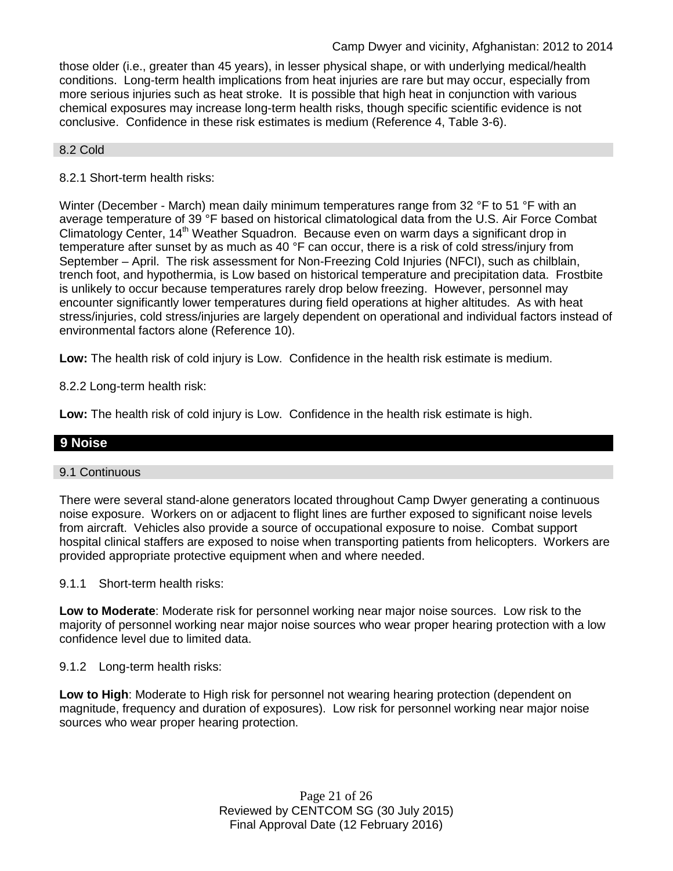those older (i.e., greater than 45 years), in lesser physical shape, or with underlying medical/health conditions. Long-term health implications from heat injuries are rare but may occur, especially from more serious injuries such as heat stroke. It is possible that high heat in conjunction with various chemical exposures may increase long-term health risks, though specific scientific evidence is not conclusive. Confidence in these risk estimates is medium (Reference 4, Table 3-6).

#### 8.2 Cold

### 8.2.1 Short-term health risks:

Winter (December - March) mean daily minimum temperatures range from 32 °F to 51 °F with an average temperature of 39 °F based on historical climatological data from the U.S. Air Force Combat Climatology Center, 14<sup>th</sup> Weather Squadron. Because even on warm days a significant drop in temperature after sunset by as much as 40 °F can occur, there is a risk of cold stress/injury from September – April. The risk assessment for Non-Freezing Cold Injuries (NFCI), such as chilblain, trench foot, and hypothermia, is Low based on historical temperature and precipitation data. Frostbite is unlikely to occur because temperatures rarely drop below freezing. However, personnel may encounter significantly lower temperatures during field operations at higher altitudes. As with heat stress/injuries, cold stress/injuries are largely dependent on operational and individual factors instead of environmental factors alone (Reference 10).

**Low:** The health risk of cold injury is Low. Confidence in the health risk estimate is medium.

8.2.2 Long-term health risk:

**Low:** The health risk of cold injury is Low. Confidence in the health risk estimate is high.

# **9 Noise**

#### 9.1 Continuous

There were several stand-alone generators located throughout Camp Dwyer generating a continuous noise exposure. Workers on or adjacent to flight lines are further exposed to significant noise levels from aircraft. Vehicles also provide a source of occupational exposure to noise. Combat support hospital clinical staffers are exposed to noise when transporting patients from helicopters. Workers are provided appropriate protective equipment when and where needed.

9.1.1 Short-term health risks:

**Low to Moderate**: Moderate risk for personnel working near major noise sources. Low risk to the majority of personnel working near major noise sources who wear proper hearing protection with a low confidence level due to limited data.

9.1.2 Long-term health risks:

**Low to High**: Moderate to High risk for personnel not wearing hearing protection (dependent on magnitude, frequency and duration of exposures). Low risk for personnel working near major noise sources who wear proper hearing protection.

> Page 21 of 26 Reviewed by CENTCOM SG (30 July 2015) Final Approval Date (12 February 2016)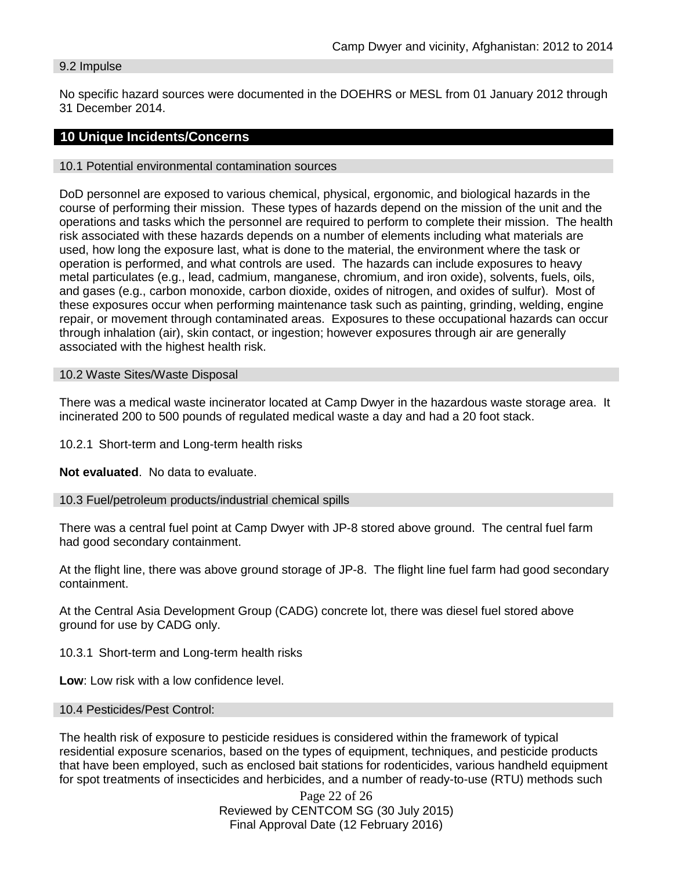#### 9.2 Impulse

No specific hazard sources were documented in the DOEHRS or MESL from 01 January 2012 through 31 December 2014.

### **10 Unique Incidents/Concerns**

#### 10.1 Potential environmental contamination sources

DoD personnel are exposed to various chemical, physical, ergonomic, and biological hazards in the course of performing their mission. These types of hazards depend on the mission of the unit and the operations and tasks which the personnel are required to perform to complete their mission. The health risk associated with these hazards depends on a number of elements including what materials are used, how long the exposure last, what is done to the material, the environment where the task or operation is performed, and what controls are used. The hazards can include exposures to heavy metal particulates (e.g., lead, cadmium, manganese, chromium, and iron oxide), solvents, fuels, oils, and gases (e.g., carbon monoxide, carbon dioxide, oxides of nitrogen, and oxides of sulfur). Most of these exposures occur when performing maintenance task such as painting, grinding, welding, engine repair, or movement through contaminated areas. Exposures to these occupational hazards can occur through inhalation (air), skin contact, or ingestion; however exposures through air are generally associated with the highest health risk.

#### 10.2 Waste Sites/Waste Disposal

There was a medical waste incinerator located at Camp Dwyer in the hazardous waste storage area. It incinerated 200 to 500 pounds of regulated medical waste a day and had a 20 foot stack.

10.2.1 Short-term and Long-term health risks

**Not evaluated**. No data to evaluate.

#### 10.3 Fuel/petroleum products/industrial chemical spills

There was a central fuel point at Camp Dwyer with JP-8 stored above ground. The central fuel farm had good secondary containment.

At the flight line, there was above ground storage of JP-8. The flight line fuel farm had good secondary containment.

At the Central Asia Development Group (CADG) concrete lot, there was diesel fuel stored above ground for use by CADG only.

10.3.1 Short-term and Long-term health risks

**Low**: Low risk with a low confidence level.

#### 10.4 Pesticides/Pest Control:

The health risk of exposure to pesticide residues is considered within the framework of typical residential exposure scenarios, based on the types of equipment, techniques, and pesticide products that have been employed, such as enclosed bait stations for rodenticides, various handheld equipment for spot treatments of insecticides and herbicides, and a number of ready-to-use (RTU) methods such

> Page 22 of 26 Reviewed by CENTCOM SG (30 July 2015) Final Approval Date (12 February 2016)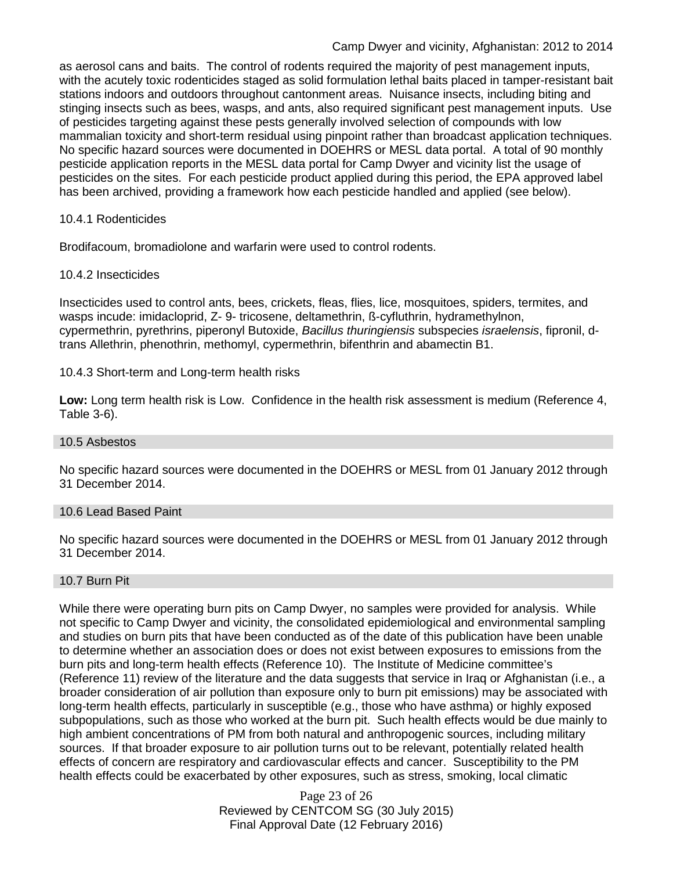as aerosol cans and baits. The control of rodents required the majority of pest management inputs, with the acutely toxic rodenticides staged as solid formulation lethal baits placed in tamper-resistant bait stations indoors and outdoors throughout cantonment areas. Nuisance insects, including biting and stinging insects such as bees, wasps, and ants, also required significant pest management inputs. Use of pesticides targeting against these pests generally involved selection of compounds with low mammalian toxicity and short-term residual using pinpoint rather than broadcast application techniques. No specific hazard sources were documented in DOEHRS or MESL data portal. A total of 90 monthly pesticide application reports in the MESL data portal for Camp Dwyer and vicinity list the usage of pesticides on the sites. For each pesticide product applied during this period, the EPA approved label has been archived, providing a framework how each pesticide handled and applied (see below).

### 10.4.1 Rodenticides

Brodifacoum, bromadiolone and warfarin were used to control rodents.

# 10.4.2 Insecticides

Insecticides used to control ants, bees, crickets, fleas, flies, lice, mosquitoes, spiders, termites, and wasps incude: imidacloprid, Z- 9- tricosene, deltamethrin, ß-cyfluthrin, hydramethylnon, cypermethrin, pyrethrins, piperonyl Butoxide, *Bacillus thuringiensis* subspecies *israelensis*, fipronil, dtrans Allethrin, phenothrin, methomyl, cypermethrin, bifenthrin and abamectin B1.

# 10.4.3 Short-term and Long-term health risks

**Low:** Long term health risk is Low. Confidence in the health risk assessment is medium (Reference 4, Table 3-6).

### 10.5 Asbestos

No specific hazard sources were documented in the DOEHRS or MESL from 01 January 2012 through 31 December 2014.

### 10.6 Lead Based Paint

No specific hazard sources were documented in the DOEHRS or MESL from 01 January 2012 through 31 December 2014.

### 10.7 Burn Pit

While there were operating burn pits on Camp Dwyer, no samples were provided for analysis. While not specific to Camp Dwyer and vicinity, the consolidated epidemiological and environmental sampling and studies on burn pits that have been conducted as of the date of this publication have been unable to determine whether an association does or does not exist between exposures to emissions from the burn pits and long-term health effects (Reference 10). The Institute of Medicine committee's (Reference 11) review of the literature and the data suggests that service in Iraq or Afghanistan (i.e., a broader consideration of air pollution than exposure only to burn pit emissions) may be associated with long-term health effects, particularly in susceptible (e.g., those who have asthma) or highly exposed subpopulations, such as those who worked at the burn pit. Such health effects would be due mainly to high ambient concentrations of PM from both natural and anthropogenic sources, including military sources. If that broader exposure to air pollution turns out to be relevant, potentially related health effects of concern are respiratory and cardiovascular effects and cancer. Susceptibility to the PM health effects could be exacerbated by other exposures, such as stress, smoking, local climatic

> Page 23 of 26 Reviewed by CENTCOM SG (30 July 2015) Final Approval Date (12 February 2016)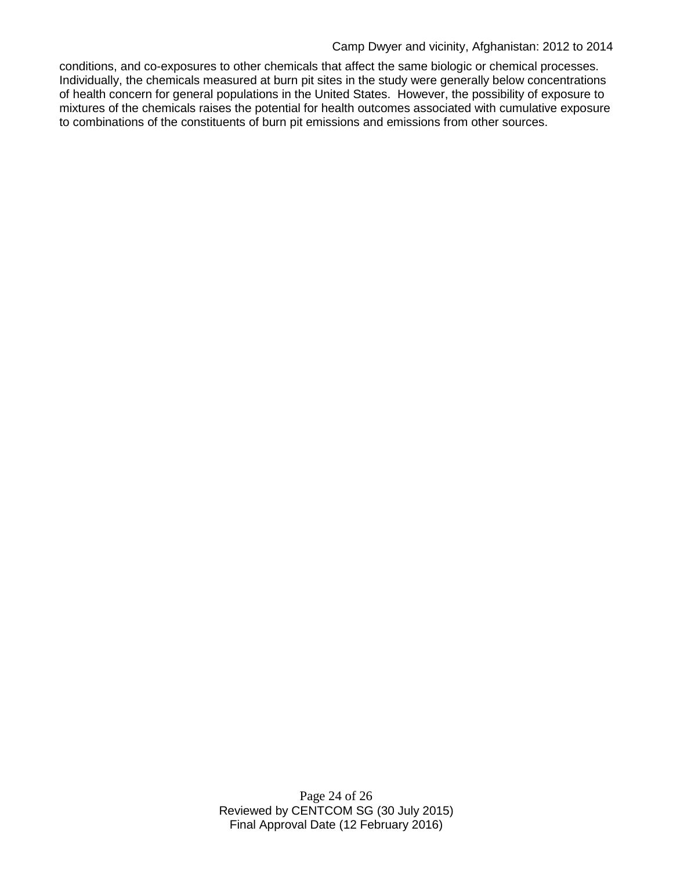#### Camp Dwyer and vicinity, Afghanistan: 2012 to 2014

conditions, and co-exposures to other chemicals that affect the same biologic or chemical processes. Individually, the chemicals measured at burn pit sites in the study were generally below concentrations of health concern for general populations in the United States. However, the possibility of exposure to mixtures of the chemicals raises the potential for health outcomes associated with cumulative exposure to combinations of the constituents of burn pit emissions and emissions from other sources.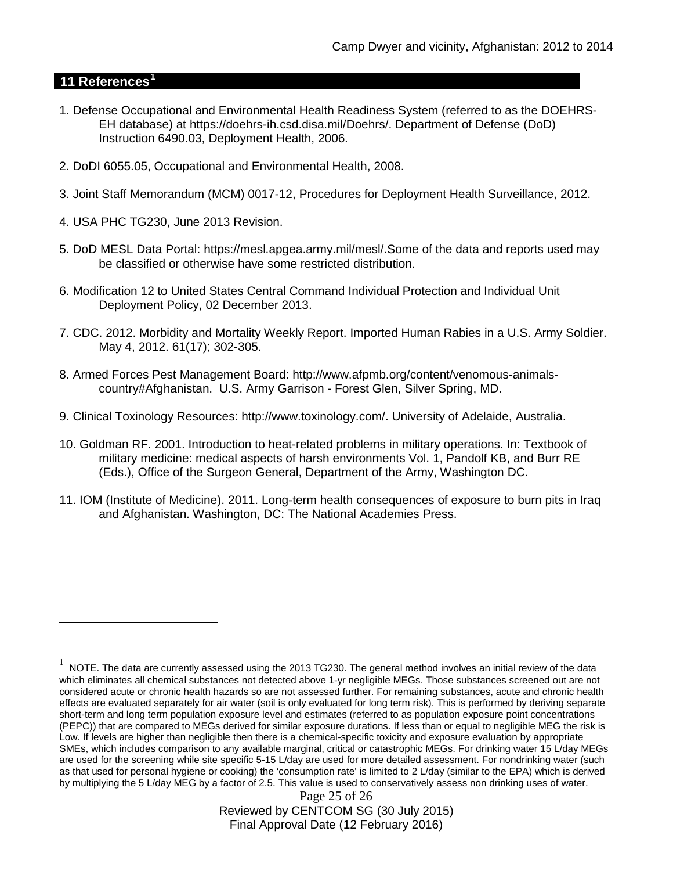### **11 References[1](#page-24-0)**

 $\overline{a}$ 

- 1. Defense Occupational and Environmental Health Readiness System (referred to as the DOEHRS-EH database) at https://doehrs-ih.csd.disa.mil/Doehrs/. Department of Defense (DoD) Instruction 6490.03, Deployment Health, 2006.
- 2. DoDI 6055.05, Occupational and Environmental Health, 2008.
- 3. Joint Staff Memorandum (MCM) 0017-12, Procedures for Deployment Health Surveillance, 2012.
- 4. USA PHC TG230, June 2013 Revision.
- 5. DoD MESL Data Portal: https://mesl.apgea.army.mil/mesl/.Some of the data and reports used may be classified or otherwise have some restricted distribution.
- 6. Modification 12 to United States Central Command Individual Protection and Individual Unit Deployment Policy, 02 December 2013.
- 7. CDC. 2012. Morbidity and Mortality Weekly Report. Imported Human Rabies in a U.S. Army Soldier. May 4, 2012. 61(17); 302-305.
- 8. Armed Forces Pest Management Board: http://www.afpmb.org/content/venomous-animalscountry#Afghanistan. U.S. Army Garrison - Forest Glen, Silver Spring, MD.
- 9. Clinical Toxinology Resources: http://www.toxinology.com/. University of Adelaide, Australia.
- 10. Goldman RF. 2001. Introduction to heat-related problems in military operations. In: Textbook of military medicine: medical aspects of harsh environments Vol. 1, Pandolf KB, and Burr RE (Eds.), Office of the Surgeon General, Department of the Army, Washington DC.
- 11. IOM (Institute of Medicine). 2011. Long-term health consequences of exposure to burn pits in Iraq and Afghanistan. Washington, DC: The National Academies Press.

Page 25 of 26 Reviewed by CENTCOM SG (30 July 2015) Final Approval Date (12 February 2016)

<span id="page-24-0"></span> $1$  NOTE. The data are currently assessed using the 2013 TG230. The general method involves an initial review of the data which eliminates all chemical substances not detected above 1-yr negligible MEGs. Those substances screened out are not considered acute or chronic health hazards so are not assessed further. For remaining substances, acute and chronic health effects are evaluated separately for air water (soil is only evaluated for long term risk). This is performed by deriving separate short-term and long term population exposure level and estimates (referred to as population exposure point concentrations (PEPC)) that are compared to MEGs derived for similar exposure durations. If less than or equal to negligible MEG the risk is Low. If levels are higher than negligible then there is a chemical-specific toxicity and exposure evaluation by appropriate SMEs, which includes comparison to any available marginal, critical or catastrophic MEGs. For drinking water 15 L/day MEGs are used for the screening while site specific 5-15 L/day are used for more detailed assessment. For nondrinking water (such as that used for personal hygiene or cooking) the 'consumption rate' is limited to 2 L/day (similar to the EPA) which is derived by multiplying the 5 L/day MEG by a factor of 2.5. This value is used to conservatively assess non drinking uses of water.